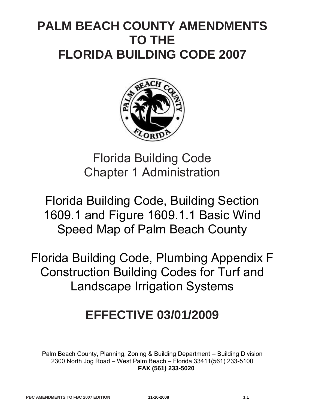## **PALM BEACH COUNTY AMENDMENTS TO THE FLORIDA BUILDING CODE 2007**



Florida Building Code Chapter 1 Administration

Florida Building Code, Building Section 1609.1 and Figure 1609.1.1 Basic Wind Speed Map of Palm Beach County

Florida Building Code, Plumbing Appendix F Construction Building Codes for Turf and Landscape Irrigation Systems

# **EFFECTIVE 03/01/2009**

Palm Beach County, Planning, Zoning & Building Department – Building Division 2300 North Jog Road – West Palm Beach – Florida 33411(561) 233-5100 **FAX (561) 233-5020**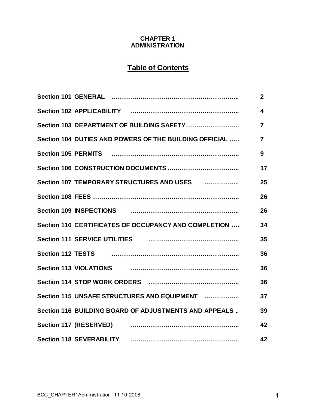## **CHAPTER 1 ADMINISTRATION**

## **Table of Contents**

|                                                                                                                                                                                                                                          | $\mathbf{2}$            |
|------------------------------------------------------------------------------------------------------------------------------------------------------------------------------------------------------------------------------------------|-------------------------|
|                                                                                                                                                                                                                                          | $\overline{\mathbf{4}}$ |
| Section 103 DEPARTMENT OF BUILDING SAFETY                                                                                                                                                                                                | $\overline{7}$          |
| Section 104 DUTIES AND POWERS OF THE BUILDING OFFICIAL                                                                                                                                                                                   | $\overline{7}$          |
|                                                                                                                                                                                                                                          | 9                       |
|                                                                                                                                                                                                                                          | 17                      |
|                                                                                                                                                                                                                                          | 25                      |
|                                                                                                                                                                                                                                          | 26                      |
| Section 109 INSPECTIONS <b>continuum contract to the Section 109 INSPECTIONS</b>                                                                                                                                                         | 26                      |
| Section 110 CERTIFICATES OF OCCUPANCY AND COMPLETION                                                                                                                                                                                     | 34                      |
| Section 111 SERVICE UTILITIES <b>contained the Contract Contract Section 111 SERVICE UTILITIES</b>                                                                                                                                       | 35                      |
| Section 112 TESTS <b>continuum</b> contract the section 112 TESTS <b>continuum</b> continuum contract the section of the section of the section of the section of the section of the section of the section of the section of the sectio | 36                      |
|                                                                                                                                                                                                                                          | 36                      |
|                                                                                                                                                                                                                                          | 36                      |
| Section 115 UNSAFE STRUCTURES AND EQUIPMENT                                                                                                                                                                                              | 37                      |
| Section 116 BUILDING BOARD OF ADJUSTMENTS AND APPEALS                                                                                                                                                                                    | 39                      |
|                                                                                                                                                                                                                                          | 42                      |
| <b>Section 118 SEVERABILITY</b>                                                                                                                                                                                                          | 42                      |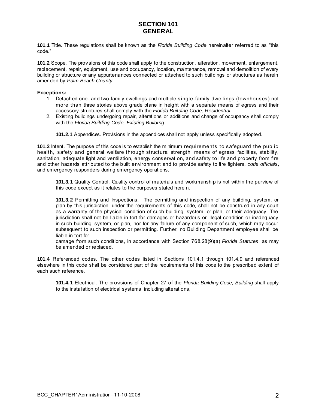## **SECTION 101 GENERAL**

<span id="page-2-0"></span>**101.1** Title. These regulations shall be known as the *Florida Building Code* hereinafter referred to as "this code."

**101.2** Scope. The provisions of this code shall apply to the construction, alteration, movement, enlargement, replacement, repair, equipment, use and occupancy, location, maintenance, removal and demolition of every building or structure or any appurtenances connected or attached to such buildings or structures as herein amended by *Palm Beach County*.

#### **Exceptions:**

- 1. Detached one- and two-family dwellings and multiple single-family dwellings (townhouses) not more than three stories above grade plane in height with a separate means of egress and their accessory structures shall comply with the *Florida Building Code, Residential.*
- 2. Existing buildings undergoing repair, alterations or additions and change of occupancy shall comply with the *Florida Building Code, Existing Building.*

**101.2.1** Appendices. Provisions in the appendices shall not apply unless specifically adopted.

**101.3** Intent. The purpose of this code is to establish the minimum requirements to safeguard the public health, safety and general welfare through structural strength, means of egress facilities, stability, sanitation, adequate light and ventilation, energy conservation, and safety to life and property from fire and other hazards attributed to the built environment and to provide safety to fire fighters, *code officials*, and emergency responders during emergency operations.

**101.3.1** Quality Control. Quality control of materials and workmanship is not within the purview of this code except as it relates to the purposes stated herein.

**101.3.2** Permitting and Inspections. The permitting and inspection of any building, system, or plan by this jurisdiction, under the requirements of this code, shall not be construed in any court as a warranty of the physical condition of such building, system, or plan, or their adequacy. The jurisdiction shall not be liable in tort for damages or hazardous or illegal condition or inadequacy in such building, system, or plan, nor for any failure of any component of such, which may occur subsequent to such inspection or permitting. Further, no Building Department employee shall be liable in tort for

damage from such conditions, in accordance with Section 768.28(9)(a) *Florida Statutes*, as may be amended or replaced.

**101.4** Referenced codes. The other codes listed in Sections 101.4.1 through 101.4.9 and referenced elsewhere in this code shall be considered part of the requirements of this code to the prescribed extent of each such reference.

**101.4.1** Electrical. The provisions of Chapter 27 of the *Florida Building Code, Building* shall apply to the installation of electrical systems, including alterations,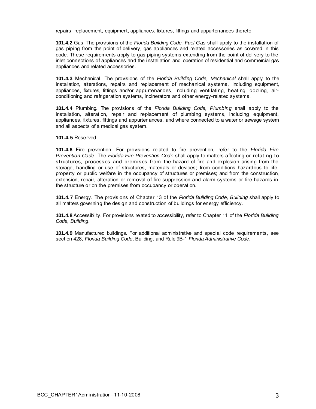repairs, replacement, equipment, appliances, fixtures, fittings and appurtenances thereto.

**101.4.2** Gas. The provisions of the *Florida Building Code, Fuel Gas* shall apply to the installation of gas piping from the point of delivery, gas appliances and related accessories as covered in this code. These requirements apply to gas piping systems extending from the point of delivery to the inlet connections of appliances and the installation and operation of residential and commercial gas appliances and related accessories.

**101.4.3** Mechanical. The provisions of the *Florida Building Code, Mechanical* shall apply to the installation, alterations, repairs and replacement of mechanical systems, including equipment, appliances, fixtures, fittings and/or appurtenances, including ventilating, heating, cooling, airconditioning and refrigeration systems, incinerators and other energy-related systems.

**101.4.4** Plumbing. The provisions of the *Florida Building Code, Plumbing* shall apply to the installation, alteration, repair and replacement of plumbing systems, including equipment, appliances, fixtures, fittings and appurtenances, and where connected to a water or sewage system and all aspects of a medical gas system.

**101.4.5** Reserved.

**101.4.6** Fire prevention. For provisions related to fire prevention, refer to the *Florida Fire Prevention Code*. The *Florida Fire Prevention Code* shall apply to matters affecting or relating to structures, processes and premises from the hazard of fire and explosion arising from the storage, handling or use of structures, materials or devices; from conditions hazardous to life, property or public welfare in the occupancy of structures or premises; and from the construction, extension, repair, alteration or removal of fire suppression and alarm systems or fire hazards in the structure or on the premises from occupancy or operation.

**101.4.7** Energy. The provisions of Chapter 13 of the *Florida Building Code, Building* shall apply to all matters governing the design and construction of buildings for energy efficiency.

**101.4.8** Accessibility. For provisions related to accessibility, refer to Chapter 11 of the *Florida Building Code, Building*.

**101.4.9** Manufactured buildings. For additional administrative and special code requirements, see section 428, *Florida Building Code*, Building, and Rule 9B-1 *Florida Administrative Code*.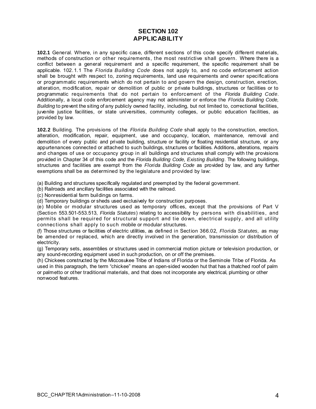## **SECTION 102 APPLICABILITY**

<span id="page-4-0"></span>**102.1** General. Where, in any specific case, different sections of this code specify different materials, methods of construction or other requirements, the most restrictive shall govern. Where there is a conflict between a general requirement and a specific requirement, the specific requirement shall be applicable. 102.1.1 The *Florida Building Code* does not apply to, and no code enforcement action shall be brought with respect to, zoning requirements, land use requirements and owner specifications or programmatic requirements which do not pertain to and govern the design, construction, erection, alteration, modification, repair or demolition of public or private buildings, structures or facilities or to programmatic requirements that do not pertain to enforcement of the *Florida Building Code*. Additionally, a local code enforcement agency may not administer or enforce the *Florida Building Code, Building* to prevent the siting of any publicly owned facility, including, but not limited to, correctional facilities, juvenile justice facilities, or state universities, community colleges, or public education facilities, as provided by law.

**102.2** Building. The provisions of the *Florida Building Code* shall apply to the construction, erection, alteration, modification, repair, equipment, use and occupancy, location, maintenance, removal and demolition of every public and private building, structure or facility or floating residential structure, or any appurtenances connected or attached to such buildings, structures or facilities. Additions, alterations, repairs and changes of use or occupancy group in all buildings and structures shall comply with the provisions provided in Chapter 34 of this code and the *Florida Building Code, Existing Building*. The following buildings, structures and facilities are exempt from the *Florida Building Code* as provided by law, and any further exemptions shall be as determined by the legislature and provided by law:

(a) Building and structures specifically regulated and preempted by the federal government.

(b) Railroads and ancillary facilities associated with the railroad.

(c) Nonresidential farm buildings on farms.

(d) Temporary buildings or sheds used exclusively for construction purposes.

(e) Mobile or modular structures used as temporary offices, except that the provisions of Part V (Section 553.501-553.513, *Florida Statutes*) relating to accessibility by persons with disabilities, and permits shall be required for structural support and tie down, electrical supply, and all utility connections shall apply to such mobile or modular structures.

(f) Those structures or facilities of electric utilities, as defined in Section 366.02, *Florida Statutes,* as may be amended or replaced, which are directly involved in the generation, transmission or distribution of electricity.

(g) Temporary sets, assemblies or structures used in commercial motion picture or television production, or any sound-recording equipment used in such production, on or off the premises.

(h) Chickees constructed by the Miccosukee Tribe of Indians of Florida or the Seminole Tribe of Florida. As used in this paragraph, the term "chickee" means an open-sided wooden hut that has a thatched roof of palm or palmetto or other traditional materials, and that does not incorporate any electrical, plumbing or other nonwood features.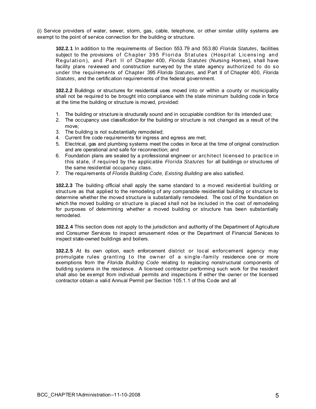(i) Service providers of water, sewer, storm, gas, cable, telephone, or other similar utility systems are exempt to the point of service connection for the building or structure.

**102.2.1** In addition to the requirements of Section 553.79 and 553.80 *Florida Statutes*, facilities subject to the provisions of Chapter 395 Florida Statutes (Hospital Licensing and Regulation), and Part II of Chapter 400, *Florida Statutes* (Nursing Homes), shall have facility plans reviewed and construction surveyed by the state agency authorized to do so under the requirements of Chapter 395 *Florida Statutes,* and Part II of Chapter 400, *Florida Statutes*, and the certification requirements of the federal government.

**102.2.2** Buildings or structures for residential uses moved into or within a county or municipality shall not be required to be brought into compliance with the state minimum building code in force at the time the building or structure is moved, provided:

- 1. The building or structure is structurally sound and in occupiable condition for its intended use;
- 2. The occupancy use classification for the building or structure is not changed as a result of the move;
- 3. The building is not substantially remodeled;
- 4. Current fire code requirements for ingress and egress are met;
- 5. Electrical, gas and plumbing systems meet the codes in force at the time of original construction and are operational and safe for reconnection; and
- 6. Foundation plans are sealed by a professional engineer or architect licensed to practice in this state, if required by the applicable *Florida Statutes* for all buildings or structures of the same residential occupancy class.
- 7. The requirements of *Florida Building Code, Existing Building* are also satisfied.

**102.2.3** The building official shall apply the same standard to a moved residential building or structure as that applied to the remodeling of any comparable residential building or structure to determine whether the moved structure is substantially remodeled. The cost of the foundation on which the moved building or structure is placed shall not be included in the cost of remodeling for purposes of determining whether a moved building or structure has been substantially remodeled.

**102.2.4** This section does not apply to the jurisdiction and authority of the Department of Agriculture and Consumer Services to inspect amusement rides or the Department of Financial Services to inspect state-owned buildings and boilers.

**102.2.5** At its own option, each enforcement district or local enforcement agency may promulgate rules granting to the owner of a single-family residence one or more exemptions from the *Florida Building Code* relating to replacing nonstructural components of building systems in the residence. A licensed contractor performing such work for the resident shall also be exempt from individual permits and inspections if either the owner or the licensed contractor obtain a valid Annual Permit per Section 105.1.1 of this Code and all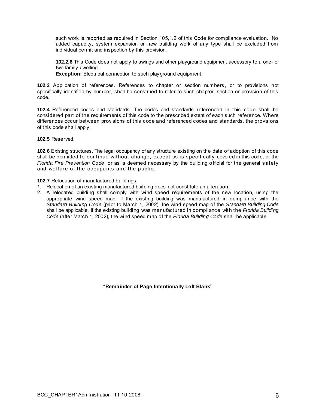such work is reported as required in Section 105,1.2 of this Code for compliance evaluation. No added capacity, system expansion or new building work of any type shall be excluded from individual permit and inspection by this provision.

**102.2.6** This Code does not apply to swings and other playground equipment accessory to a one- or two-family dwelling.

**Exception:** Electrical connection to such playground equipment.

**102.3** Application of references. References to chapter or section numbers, or to provisions not specifically identified by number, shall be construed to refer to such chapter, section or provision of this code.

**102.4** Referenced codes and standards. The codes and standards referenced in this code shall be considered part of the requirements of this code to the prescribed extent of each such reference. Where differences occur between provisions of this code and referenced codes and standards, the provisions of this code shall apply.

**102.5** Reserved.

**102.6** Existing structures. The legal occupancy of any structure existing on the date of adoption of this code shall be permitted to continue without change, except as is specifically covered in this code, or the *Florida Fire Prevention Code*, or as is deemed necessary by the building official for the general s afety and welfare of the occupants and the public.

**102.7** Relocation of manufactured buildings.

- 1. Relocation of an existing manufactured building does not constitute an alteration.
- 2. A relocated building shall comply with wind speed requirements of the new location, using the appropriate wind speed map. If the existing building was manufactured in compliance with the *Standard Building Code* (prior to March 1, 2002), the wind speed map of the *Standard Building Code*  shall be applicable. If the existing building was manufactured in compliance with the *Florida Building Code* (after March 1, 2002), the wind speed map of the *Florida Building Code* shall be applicable.

**"Remainder of Page Intentionally Left Blank"**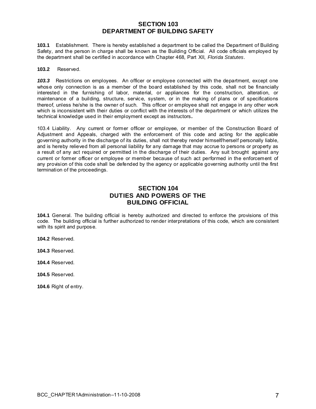## **SECTION 103 DEPARTMENT OF BUILDING SAFETY**

<span id="page-7-0"></span>**103.1** Establishment. There is hereby established a department to be called the Department of Building Safety, and the person in charge shall be known as the Building Official. All code officials employed by the department shall be certified in accordance with Chapter 468, Part XII, *Florida Statutes*.

#### **103.2** Reserved.

*103.3* Restrictions on employees. An officer or employee connected with the department, except one whose only connection is as a member of the board established by this code, shall not be financially interested in the furnishing of labor, material, or appliances for the construction, alteration, or maintenance of a building, structure, service, system, or in the making of plans or of specifications thereof, unless he/she is the owner of such. This officer or employee shall not engage in any other work which is inconsistent with their duties or conflict with the interests of the department or which utilizes the technical knowledge used in their employment except as instructors*.* 

103.4 Liability. Any current or former officer or employee, or member of the Construction Board of Adjustment and Appeals, charged with the enforcement of this code and acting for the applicable governing authority in the discharge of its duties, shall not thereby render himself/herself personally liable, and is hereby relieved from all personal liability for any damage that may accrue to persons or property as a result of any act required or permitted in the discharge of their duties. Any suit brought against any current or former officer or employee or member because of such act performed in the enforcement of any provision of this code shall be defended by the agency or applicable governing authority until the first termination of the proceedings.

## **SECTION 104 DUTIES AND POWERS OF THE BUILDING OFFICIAL**

**104.1** General. The building official is hereby authorized and directed to enforce the provisions of this code. The building official is further authorized to render interpretations of this code, which are consistent with its spirit and purpose.

**104.2** Reserved.

**104.3** Reserved.

**104.4** Reserved.

**104.5** Reserved.

**104.6** Right of entry.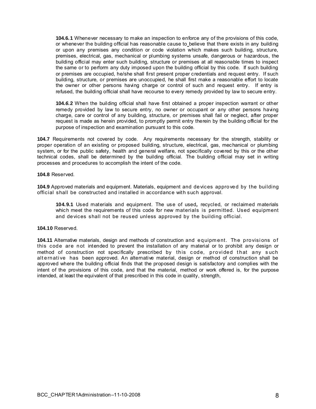**104.6.1** Whenever necessary to make an inspection to enforce any of the provisions of this code, or whenever the building official has reasonable cause to believe that there exists in any building or upon any premises any condition or code violation which makes such building, structure, premises, electrical, gas, mechanical or plumbing systems unsafe, dangerous or hazardous, the building official may enter such building, structure or premises at all reasonable times to inspect the same or to perform any duty imposed upon the building official by this code. If such building or premises are occupied, he/she shall first present proper credentials and request entry. If such building, structure, or premises are unoccupied, he shall first make a reasonable effort to locate the owner or other persons having charge or control of such and request entry. If entry is refused, the building official shall have recourse to every remedy provided by law to secure entry.

**104.***6***.2** When the building official shall have first obtained a proper inspection warrant or other remedy provided by law to secure entry, no owner or occupant or any other persons having charge, care or control of any building, structure, or premises shall fail or neglect, after proper request is made as herein provided, to promptly permit entry therein by the building official for the purpose of inspection and examination pursuant to this code.

**104.7** Requirements not covered by code. Any requirements necessary for the strength, stability or proper operation of an existing or proposed building, structure, electrical, gas, mechanical or plumbing system, or for the public safety, health and general welfare, not specifically covered by this or the other technical codes, shall be determined by the building official. The building official may set in writing processes and procedures to accomplish the intent of the code.

#### **104.8** Reserved.

**104.9** Approved materials and equipment. Materials, equipment and devices approved by the building official shall be constructed and installed in accordance with such approval.

**104.9.1** Used materials and equipment. The use of used*,* recycled, or reclaimed materials which meet the requirements of this code for new materials is permitted. Used equipment and devices shall not be reused unless approved by the building official.

#### **104.10** Reserved.

**104.11** Alternative materials, design and methods of construction and equipment. The provisions of this code are not intended to prevent the installation of any material or to prohibit any design or method of construction not specifically prescribed by this code, provided that any such alt ernati ve has been approved. An alternative material, design or method of construction shall be approved where the building official finds that the proposed design is satisfactory and complies with the intent of the provisions of this code, and that the material, method or work offered is, for the purpose intended, at least the equivalent of that prescribed in this code in quality, strength,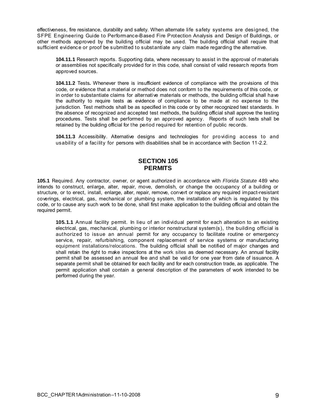<span id="page-9-0"></span>effectiveness, fire resistance, durability and safety. When alternate life safety systems are designed, the SFPE Engineering Guide to Performance-Based Fire Protection Analysis and Design of Buildings*,* or other methods approved by the building official may be used. The building official shall require that sufficient evidence or proof be submitted to substantiate any claim made regarding the alternative.

**104.11.1** Research reports. Supporting data, where necessary to assist in the approval of materials or assemblies not specifically provided for in this code, shall consist of valid research reports from approved sources.

**104.11.2** Tests**.** Whenever there is insufficient evidence of compliance with the provisions of this code, or evidence that a material or method does not conform to the requirements of this code, or in order to substantiate claims for alternative materials or methods, the building official shall have the authority to require tests as evidence of compliance to be made at no expense to the jurisdiction. Test methods shall be as specified in this code or by other recognized test standards. In the absence of recognized and accepted test methods, the building official shall approve the testing procedures. Tests shall be performed by an approved agency. Reports of such tests shall be retained by the building official for the period required for retention of public records.

**104.11.3** Accessibility. Alternative designs and technologies for providing access to and usability of a facility for persons with disabilities shall be in accordance with Section 11-2.2.

## **SECTION 105 PERMITS**

**105.1** Required. Any contractor, owner, or agent authorized in accordance with *Florida Statute* 489 who intends to construct, enlarge, alter, repair, move, demolish, or change the occupancy of a building or structure, or to erect, install, enlarge, alter, repair, remove, convert or replace any required impact-resistant coverings, electrical, gas, mechanical or plumbing system, the installation of which is regulated by this code, or to cause any such work to be done, shall first make application to the building official and obtain the required permit.

**105.1.1** Annual facility permit. In lieu of an individual permit for each alteration to an existing electrical, gas, mechanical, plumbing or interior nonstructural system(s), the building official is authorized to issue an annual permit for any occupancy to facilitate routine or emergency service, repair, refurbishing, component replacement of service systems or manufacturing equipment installations/relocations. The building official shall be notified of major changes and shall retain the right to make inspections at the work sites as deemed necessary. An annual facility permit shall be assessed an annual fee and shall be valid for one year from date of issuance. A separate permit shall be obtained for each facility and for each construction trade, as applicable. The permit application shall contain a general description of the parameters of work intended to be performed during the year.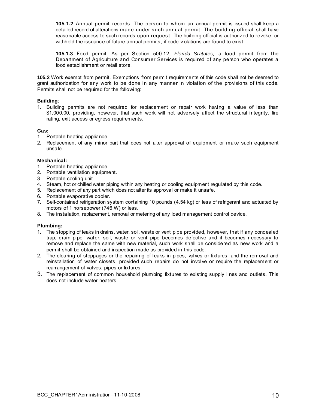**105.1.2** Annual permit records. The person to whom an annual permit is issued shall keep a detailed record of alterations made under such annual permit. The building official shall have reasonable access to such records upon request. The building official is authorized to revoke, or withhold the issuance of future annual permits, if code violations are found to exist.

**105.1.3** Food permit. As per Section 500.12, *Florida Statutes,* a food permit from the Department of Agriculture and Consumer Services is required of any person who operates a food establishment or retail store.

**105.2** Work exempt from permit. Exemptions from permit requirements of this code shall not be deemed to grant authorization for any work to be done in any manner in violation of the provisions of this code. Permits shall not be required for the following:

#### **Building**:

1. Building permits are not required for replacement or repair work having a value of less than \$1,000.00, providing, however, that such work will not adversely affect the structural integrity, fire rating, exit access or egress requirements.

#### **Gas:**

- 1. Portable heating appliance.
- 2. Replacement of any minor part that does not alter approval of equipment or make such equipment unsafe.

#### **Mechanical:**

- 1. Portable heating appliance.
- 2. Portable ventilation equipment.
- 3. Portable cooling unit.
- 4. Steam, hot or chilled water piping within any heating or cooling equipment regulated by this code.
- 5. Replacement of any part which does not alter its approval or make it unsafe.
- 6. Portable evaporative cooler.
- 7. Self-contained refrigeration system containing 10 pounds (4.54 kg) or less of refrigerant and actuated by motors of 1 horsepower (746 W) or less.
- 8. The installation, replacement, removal or metering of any load management control device.

#### **Plumbing:**

- 1. The stopping of leaks in drains, water, soil, waste or vent pipe provided, however, that if any concealed trap, drain pipe, water, soil, waste or vent pipe becomes defective and it becomes necessary to remove and replace the same with new material, such work shall be considered as new work and a permit shall be obtained and inspection made as provided in this code.
- 2. The clearing of stoppages or the repairing of leaks in pipes, valves or fixtures, and the removal and reinstallation of water closets, provided such repairs do not involve or require the replacement or rearrangement of valves, pipes or fixtures.
- 3. The replacement of common household plumbing fixtures to existing supply lines and outlets. This does not include water heaters.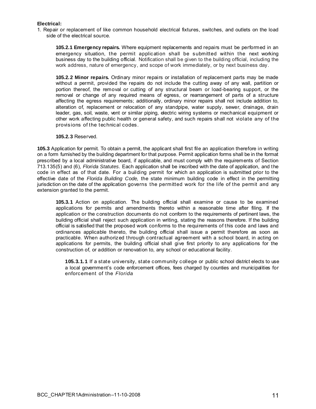#### **Electrical:**

1. Repair or replacement of like common household electrical fixtures, switches, and outlets on the load side of the electrical source.

**105.2.1 Emergency repairs.** Where equipment replacements and repairs must be performed in an emergency situation, the permit application shall be submitted within the next working business day to the building official. Notification shall be given to the building official, including the work address, nature of emergency, and scope of work immediately, or by next business day.

**105.2.2 Minor repairs.** Ordinary minor repairs or installation of replacement parts may be made without a permit, provided the repairs do not include the cutting away of any wall, partition or portion thereof, the removal or cutting of any structural beam or load-bearing support, or the removal or change of any required means of egress, or rearrangement of parts of a structure affecting the egress requirements; additionally, ordinary minor repairs shall not include addition to, alteration of, replacement or relocation of any standpipe, water supply, sewer, drainage, drain leader, gas, soil, waste, vent or similar piping, electric wiring systems or mechanical equipment or other work affecting public health or general safety, and such repairs shall not violate any of the provisions of the technical codes.

#### **105.2.3** Reserved.

**105.3** Application for permit. To obtain a permit, the applicant shall first file an application therefore in writing on a form furnished by the building department for that purpose. Permit application forms shall be in the format prescribed by a local administrative board, if applicable, and must comply with the requirements of Section 713.135(5) and (6), *Florida Statutes.* Each application shall be inscribed with the date of application, and the code in effect as of that date. For a building permit for which an application is submitted prior to the effective date of the *Florida Building Code,* the state minimum building code in effect in the permitting jurisdiction on the date of the application governs the permitted work for the life of the permit and any extension granted to the permit.

**105.3.1** Action on application. The building official shall examine or cause to be examined applications for permits and amendments thereto within a reasonable time after filing. If the application or the construction documents do not conform to the requirements of pertinent laws, the building official shall reject such application in writing, stating the reasons therefore. If the building official is satisfied that the proposed work conforms to the requirements of this code and laws and ordinances applicable thereto, the building official shall issue a permit therefore as soon as practicable. When authorized through contractual agreement with a school board, in acting on applications for permits, the building official shall give first priority to any applications for the construction of, or addition or renovation to, any school or educational facility.

**105.3.1.1** If a state university, state community college or public school district elects to use a local government's code enforcement offices, fees charged by counties and municipalities for enforcement of the *Florida*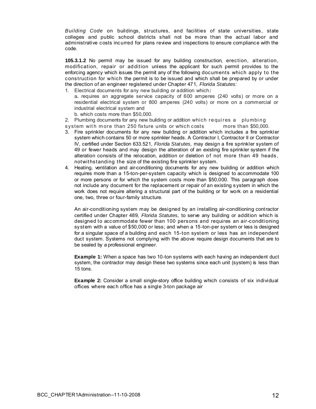*Building Code* on buildings, structures, and facilities of state universities, state colleges and public school districts shall not be more than the actual labor and administrative costs incurred for plans review and inspections to ensure compliance with the code.

**105.3.1.2** No permit may be issued for any building construction, erection, alteration, modification, repair or addition unless the applicant for such permit provides to the enforcing agency which issues the permit any of the following documents which apply to the construction for which the permit is to be issued and which shall be prepared by or under the direction of an engineer registered under Chapter 471, *Florida Statutes:* 

- 1. Electrical documents for any new building or addition which*:*
	- a**.** requires an aggregate service capacity of 600 amperes (240 volts) or more on a residential electrical system or 800 amperes (240 volts) or more on a commercial or industrial electrical system and
	- b. which costs more than \$50,000.
- 2. Plumbing documents for any new building or addition which requires a plumbing
- system with more than 250 fixture units or which costs more than \$50,000.
- 3. Fire sprinkler documents for any new building or addition which includes a fire sprinkler system which contains 50 or more sprinkler heads. A Contractor I, Contractor II or Contractor IV, certified under Section 633.521, *Florida Statutes,* may design a fire sprinkler system of 49 or fewer heads and may design the alteration of an existing fire sprinkler system if the alteration consists of the relocation, addition or deletion of not more than 49 heads, notwithstanding the size of the existing fire sprinkler system.
- 4. Heating, ventilation and air-conditioning documents for any new building or addition which requires more than a 15-ton-per-system capacity which is designed to accommodate 100 or more persons or for which the system costs more than \$50,000. This paragraph does not include any document for the replacement or repair of an existing system in which the work does not require altering a structural part of the building or for work on a residential one, two, three or four-family structure.

An air-conditioning system may be designed by an installing air-conditioning contractor certified under Chapter 489, *Florida Statutes,* to serve any building or addition which is designed to accommodate fewer than 100 persons and requires an air-conditioning system with a value of \$50,000 or less; and when a 15-ton-per system or less is designed for a singular space of a building and each 15-ton system or less has an independent duct system. Systems not complying with the above require design documents that are to be sealed by a professional engineer.

**Example 1:** When a space has two 10-ton systems with each having an independent duct system, the contractor may design these two systems since each unit (system) is less than 15 tons.

**Example 2:** Consider a small single-story office building which consists of six individual offices where each office has a single 3-ton package air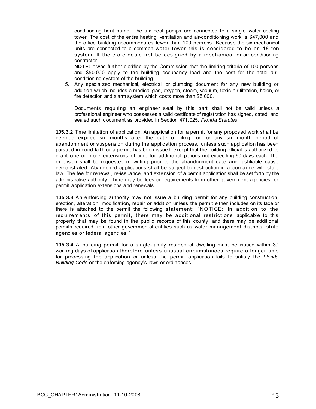conditioning heat pump. The six heat pumps are connected to a single water cooling tower. The cost of the entire heating, ventilation and air-conditioning work is \$47,000 and the office building accommodates fewer than 100 persons. Because the six mechanical units are connected to a common water tower this is considered to be an 18-ton system. It therefore could not be designed by a mechanical or air conditioning contractor.

**NOTE:** It was further clarified by the Commission that the limiting criteria of 100 persons and \$50,000 apply to the building occupancy load and the cost for the total airconditioning system of the building.

5. Any specialized mechanical, electrical, or plumbing document for any new building or addition which includes a medical gas, oxygen, steam, vacuum, toxic air filtration, halon, or fire detection and alarm system which costs more than \$5,000.

Documents requiring an engineer seal by this part shall not be valid unless a professional engineer who possesses a valid certificate of registration has signed, dated, and sealed such document as provided in Section 471.025, *Florida Statutes.*

**105.3.2** Time limitation of application. An application for a permit for any proposed work shall be deemed expired six months after the date of filing, or for any six month period of abandonment or suspension during the application process, unless such application has been pursued in good faith or a permit has been issued; except that the building official is authorized to grant one or more extensions of time for additional periods not exceeding 90 days each. The extension shall be requested in writing prior to the abandonment date and justifiable cause demonstrated. Abandoned applications shall be subject to destruction in accorda nce with state law. The fee for renewal, re-issuance, and extension of a permit application shall be set forth by the administrative authority. There may be fees or requirements from other government agencies for permit application extensions and renewals.

**105.3.3** An enforcing authority may not issue a building permit for any building construction, erection, alteration, modification, repair or addition unless the permit either includes on its face or there is attached to the permit the following statement: "NOTICE: In addition to the requirements of this permit, there may be additional restrictions applicable to this property that may be found in the public records of this county, and there may be additional permits required from other governmental entities such as water management districts, state agencies or federal agencies."

**105.3.4** A building permit for a single-family residential dwelling must be issued within 30 working days of application therefore unless unusual circumstances require a longer time for processing the application or unless the permit application fails to satisfy the *Florida Building Code* or the enforcing agency's laws or ordinances.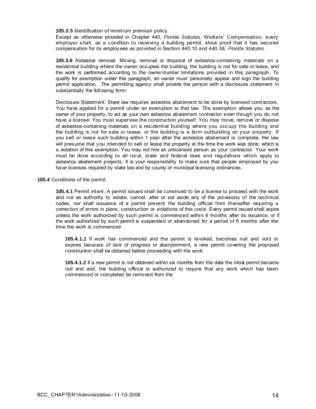**105.3.5** Identification of minimum premium policy.

Except as otherwise provided in Chapter 440, *Florida Statutes,* Workers' Compensation, every employer shall, as a condition to receiving a building permit, show proof that it has secured compensation for its employees as provided in Section 440.10 and 440.38, *Florida Statutes.* 

**105.3.6** Asbestos removal. Moving, removal or disposal of asbestos-containing materials on a residential building where the owner occupies the building, the building is not for sale or lease, and the work is performed according to the owner-builder limitations provided in this paragraph. To qualify for exemption under this paragraph, an owner must personally appear and sign the building permit application. The permitting agency shall provide the person with a disclosure statement in substantially the following form:

Disclosure Statement: State law requires asbestos abatement to be done by licensed contractors. You have applied for a permit under an exemption to that law. The exemption allows you, as the owner of your property, to act as your own asbestos abatement contractor even though you do not have a license. You must supervise the construction yourself. You may move, remove or dispose of asbestos-containing materials on a residential building where you occupy the building and the building is not for sale or lease, or the building is a farm outbuilding on your property. If you sell or lease such building within 1 year after the asbestos abatement is complete, the law will presume that you intended to sell or lease the property at the time the work was done, which is a violation of this exemption. You may not hire an unlicensed person as your contractor. Your work must be done according to all local, state and federal laws and regulations which apply to asbestos abatement projects. It is your responsibility to make sure that people employed by you have licenses required by state law and by county or municipal licensing ordinances.

#### **105.4** Conditions of the permit.

**105.4.1** Permit intent. A permit issued shall be construed to be a license to proceed with the work and not as authority to violate, cancel, alter or set aside any of the provisions of the technical codes, nor shall issuance of a permit prevent the building official from thereafter requiring a correction of errors in plans, construction or violations of this cod e. Every permit issued shall expire unless the work authorized by such permit is commenced within 6 months after its issuance, or if the work authorized by such permit is suspended or abandoned for a period of 6 months after the time the work is commenced.

**105.4.1.1** If work has commenced and the permit is revoked, becomes null and void or expires because of lack of progress or abandonment, a new permit covering the proposed construction shall be obtained before proceeding with the work.

**105.4.1.2** If a new permit is not obtained within six months from the date the initial permit became null and void, the building official is authorized to require that any work which has been commenced or completed be removed from the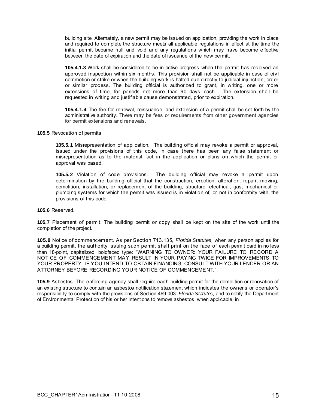building site. Alternately, a new permit may be issued on application, providing the work in place and required to complete the structure meets all applicable regulations in effect at the time the initial permit became null and void and any regulations which may have become effective between the date of expiration and the date of issuance of the new permit.

**105.4.1.3** Work shall be considered to be in active progress when the permit has received an approved inspection within six months. This provision shall not be applicable in case of civil commotion or strike or when the building work is halted due directly to judicial injunction, order or similar process. The building official is authorized to grant, in writing, one or more extensions of time, for periods not more than 90 days each. The extension shall be requested in writing and justifiable cause demonstrated, prior to expiration.

**105.4.1.4** The fee for renewal, reissuance, and extension of a permit shall be set forth by the administrative authority. There may be fees or requirements from other government agencies for permit extensions and renewals.

**105.5** Revocation of permits

**105.5.1** Misrepresentation of application. The building official may revoke a permit or approval, issued under the provisions of this code, in case there has been any false statement or misrepresentation as to the material fact in the application or plans on which the permit or approval was based.

**105.5.2** Violation of code provisions. The building official may revoke a permit upon determination by the building official that the construction, erection, alteration, repair, moving, demolition, installation, or replacement of the building, structure, electrical, gas, mechanical or plumbing systems for which the permit was issued is in violation of, or not in conformity with, the provisions of this code.

**105.6** Reserved**.** 

**105.7** Placement of permit. The building permit or copy shall be kept on the site of the work until the completion of the project.

**105.8** Notice of commencement. As per Section 713.135, *Florida Statutes,* when any person applies for a building permit, the authority issuing such permit shall print on the face of each permit card in no less than 18-point, capitalized, boldfaced type: "WARNING TO OWNER: YOUR FAILURE TO RECORD A NOTICE OF COMMENCEMENT MAY RESULT IN YOUR PAYING TWICE FOR IMPROVEMENTS TO YOUR PROPERTY. IF YOU INTEND TO OBTAIN FINANCING, CONSULT WITH YOUR LENDER OR AN ATTORNEY BEFORE RECORDING YOUR NOTICE OF COMMENCEMENT."

**105.9** Asbestos. The enforcing agency shall require each building permit for the demolition or renovation of an existing structure to contain an asbestos notification statement which indicates the owner's or operator's responsibility to comply with the provisions of Section 469.003, *Florida Statutes,* and to notify the Department of Environmental Protection of his or her intentions to remove asbestos, when applicable, in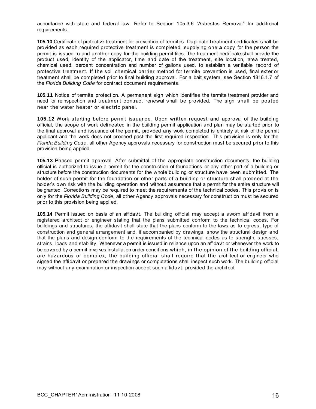accordance with state and federal law. Refer to Section 105.3.6 "Asbestos Removal" for additional requirements.

**105.10** Certificate of protective treatment for prevention of termites. Duplicate treatment certificates shall be provided as each required protective treatment is completed, supplying one a copy for the person the permit is issued to and another copy for the building permit files. The treatment certificate shall provide the product used, identity of the applicator, time and date of the treatment, site location, area treated, chemical used, percent concentration and number of gallons used, to establish a verifiable record of protective treatment. If the soil chemical barrier method for termite prevention is used, final exterior treatment shall be completed prior to final building approval. For a bait system, see Section 1816.1.7 of the *Florida Building Code* for contract document requirements.

**105.11** Notice of termite protection. A permanent sign which identifies the termite treatment provider and need for reinspection and treatment contract renewal shall be provided. The sign shall be posted near the water heater or electric panel.

**105.12** Work starting before permit issuance. Upon written request and approval of the building official, the scope of work delineated in the building permit application and plan may be started prior to the final approval and issuance of the permit, provided any work completed is entirely at risk of the permit applicant and the work does not proceed past the first required inspection. This provision is only for the *Florida Building Code*, all other Agency approvals necessary for construction must be secured prior to this provision being applied.

**105.13** Phased permit approval. After submittal of the appropriate construction documents, the building official is authorized to issue a permit for the construction of foundations or any other part of a building or structure before the construction documents for the whole building or structure have been submitted. The holder of such permit for the foundation or other parts of a building or structure shall proceed at the holder's own risk with the building operation and without assurance that a permit for the entire structure will be granted. Corrections may be required to meet the requirements of the technical codes. This provision is only for the *Florida Building Code*, all other Agency approvals necessary for construction must be secured prior to this provision being applied.

**105.14** Permit issued on basis of an affidavit. The building official may accept a sworn affidavit from a registered architect or engineer stating that the plans submitted conform to the technical codes. For buildings and structures, the affidavit shall state that the plans conform to the laws as to egress, type of construction and general arrangement and, if accompanied by drawings, show the structural design and that the plans and design conform to the requirements of the technical codes as to strength, stresses, strains, loads and stability. Whenever a permit is issued in reliance upon an affidavit or whenever the work to be covered by a permit involves installation under conditions which, in the opinion of the building official, are hazardous or complex, the building official shall require that the architect or engineer who signed the affidavit or prepared the drawings or computations shall inspect such work. The building official may without any examination or inspection accept such affidavit, provided the architect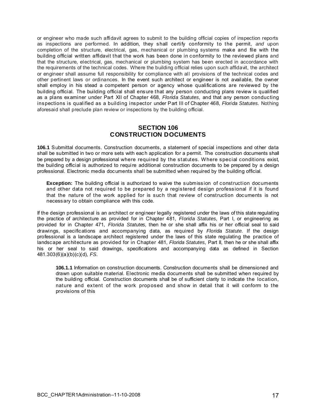<span id="page-17-0"></span>or engineer who made such affidavit agrees to submit to the building official copies of inspection reports as inspections are performed. In addition, they shall certify conformity to the permit, *and* upon completion of the structure, electrical, gas, mechanical or plumbing systems make and file with the building official written affidavit that the work has been done in conformity to the reviewed plans and that the structure, electrical, gas, mechanical or plumbing system has been erected in accordance with the requirements of the technical codes. Where the building official relies upon such affidavit, the architect or engineer shall assume full responsibility for compliance with all provisions of the technical codes and other pertinent laws or ordinances. In the event such architect or engineer is not available, the owner shall employ in his stead a competent person or agency whose qualifications are reviewed by the building official. The building official shall ensure that any person conducting plans review is qualified as a plans examiner under Part XII of Chapter 468, *Florida Statutes,* and that any person conducting inspections is qualified as a building inspector under Part III of Chapter 468, *Florida Statutes.* Nothing aforesaid shall preclude plan review or inspections by the building official.

## **SECTION 106 CONSTRUCTION DOCUMENTS**

**106.1** Submittal documents. Construction documents, a statement of special inspections and other data shall be submitted in two or more sets with each application for a permit. The construction documents shall be prepared by a design professional where required by the statutes. Where special conditions exist, the building official is authorized to require additional construction documents to be prepared by a design professional. Electronic media documents shall be submitted when required by the building official.

**Exception:** The building official is authorized to waive the submission of construction documents and other data not required to be prepared by a registered design professional if it is found that the nature of the work applied for is such that review of construction documents is not necessary to obtain compliance with this code.

If the design professional is an architect or engineer legally registered under the laws of this state regulating the practice of architecture as provided for in Chapter 481, *Florida Statutes,* Part I, or engineering as provided for in Chapter 471, *Florida Statutes,* then he or she shall affix his or her official seal to said drawings, specifications and accompanying data, as required by *Florida Statute.* If the design professional is a landscape architect registered under the laws of this state regulating the practice of landscape architecture as provided for in Chapter 481, *Florida Statutes,* Part II, then he or she shall affix his or her seal to said drawings, specifications and accompanying data as defined in Section 481.303(6)(a)(b)(c)(d), *FS.*

**106.1.1** Information on construction documents. Construction documents shall be dimensioned and drawn upon suitable material. Electronic media documents shall be submitted when required by the building official. Construction documents shall be of sufficient clarity to indicate the location, nature and extent of the work proposed and show in detail that it will conform to the provisions of this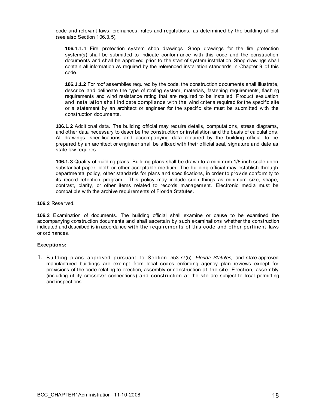code and relevant laws, ordinances, rules and regulations, as determined by the building official (see also Section 106.3.5).

**106.1.1.1** Fire protection system shop drawings. Shop drawings for the fire protection system(s) shall be submitted to indicate conformance with this code and the construction documents and shall be approved prior to the start of system installation. Shop drawings shall contain all information as required by the referenced installation standards in Chapter 9 of this code.

**106.1.1.2** For roof assemblies required by the code, the construction documents shall illustrate, describe and delineate the type of roofing system, materials, fastening requirements, flashing requirements and wind resistance rating that are required to be installed. Product evaluation and installation shall indicate compliance with the wind criteria required for the specific site or a statement by an architect or engineer for the specific site must be submitted with the construction documents.

**106.1.2** Additional data. The building official may require details, computations, stress diagrams, and other data necessary to describe the construction or installation and the basis of calculations. All drawings, specifications and accompanying data required by the building official to be prepared by an architect or engineer shall be affixed with their official seal, signature and date as state law requires.

**106.1.3** Quality of building plans. Building plans shall be drawn to a minimum 1/8 inch scale upon substantial paper, cloth or other acceptable medium. The building official may establish through departmental policy, other standards for plans and specifications, in order to provide conformity to its record retention program. This policy may include such things as minimum size, shape, contrast, clarity, or other items related to records management. Electronic media must be compatible with the archive requirements of Florida Statutes.

**106.2** Reserved.

**106.3** Examination of documents. The building official shall examine or cause to be examined the accompanying construction documents and shall ascertain by such examinations whether the construction indicated and described is in accordance with the requirements of this code and other pertinent laws or ordinances.

#### **Exceptions:**

1. Building plans approved pursuant to Section 553.77(5), *Florida Statutes,* and state-approved manufactured buildings are exempt from local codes enforcing agency plan reviews except for provisions of the code relating to erection, assembly or construction at the site. Erection, assembly (including utility crossover connections) and construction at the site are subject to local permitting and inspections.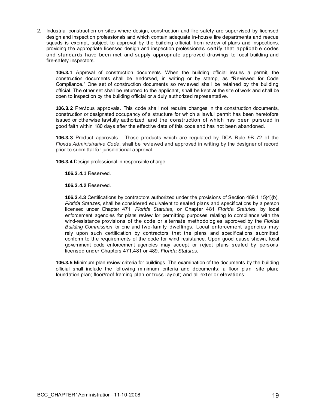2. Industrial construction on sites where design, construction and fire safety are supervised by licensed design and inspection professionals and which contain adequate in-house fire departments and rescue squads is exempt, subject to approval by the building official, from review of plans and inspections, providing the appropriate licensed design and inspection professionals certify that applicable codes and standards have been met and supply appropriate approved drawings to local building and fire-safety inspectors.

**106.3.1** Approval of construction documents. When the building official issues a permit, the construction documents shall be endorsed, in writing or by stamp, as "Reviewed for Code Compliance." One set of construction documents so reviewed shall be retained by the building official. The other set shall be returned to the applicant, shall be kept at the site of work and shall be open to inspection by the building official or a duly authorized representative.

**106.3.2** Previous approvals. This code shall not require changes in the construction documents, construction or designated occupancy of a structure for which a lawful permit has been heretofore issued or otherwise lawfully authorized, and the construction of which has been pursued in good faith within 180 days after the effective date of this code and has not been abandoned.

**106.3.3** Product approvals. Those products which are regulated by DCA Rule 9B -72 of the *Florida Administrative Code*, shall be reviewed and approved in writing by the designer of record prior to submittal for jurisdictional approval.

**106.3.4** Design professional in responsible charge.

**106.3.4.1** Reserved.

**106.3.4.2** Reserved.

**106.3.4.3** Certifications by contractors authorized under the provisions of Section 489.1 15(4)(b), *Florida Statutes,* shall be considered equivalent to sealed plans and specifications by a person licensed under Chapter 471, *Florida Statutes,* or Chapter 481 *Florida Statutes,* by local enforcement agencies for plans review for permitting purposes relating to compliance with the wind-resistance provisions of the code or alternate methodologies approved by the *Florida Building Commission* for one and two-family dwellings. Local enforcement agencies may rely upon such certification by contractors that the plans and specifications submitted conform to the requirements of the code for wind resistance. Upon good cause shown, local government code enforcement agencies may accept or reject plans sealed by persons licensed under Chapters 471,481 or 489, *Florida Statutes.* 

**106.3.5** Minimum plan review criteria for buildings. The examination of the documents by the building official shall include the following minimum criteria and documents: a floor plan; site plan; foundation plan; floor/roof framing plan or truss layout; and all exterior elevations: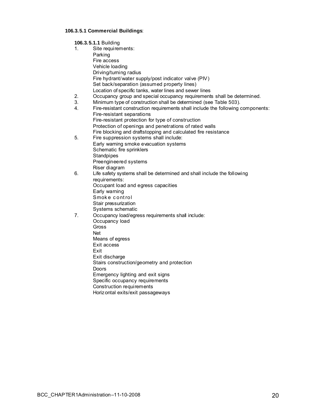## **106.3.5.1 Commercial Buildings**:

| 106.3.5.1.1 Building |                                                                                  |  |  |  |  |
|----------------------|----------------------------------------------------------------------------------|--|--|--|--|
| 1.                   | Site requirements:                                                               |  |  |  |  |
|                      | Parking                                                                          |  |  |  |  |
|                      | Fire access                                                                      |  |  |  |  |
|                      | Vehicle loading                                                                  |  |  |  |  |
|                      | Driving/turning radius                                                           |  |  |  |  |
|                      | Fire hydrant/water supply/post indicator valve (PIV)                             |  |  |  |  |
|                      | Set back/separation (assumed property lines)                                     |  |  |  |  |
|                      | Location of specific tanks, water lines and sewer lines                          |  |  |  |  |
| 2.                   | Occupancy group and special occupancy requirements shall be determined.          |  |  |  |  |
| 3.                   | Minimum type of construction shall be determined (see Table 503).                |  |  |  |  |
| 4.                   | Fire-resistant construction requirements shall include the following components: |  |  |  |  |
|                      | Fire-resistant separations                                                       |  |  |  |  |
|                      | Fire-resistant protection for type of construction                               |  |  |  |  |
|                      | Protection of openings and penetrations of rated walls                           |  |  |  |  |
|                      | Fire blocking and draftstopping and calculated fire resistance                   |  |  |  |  |
| 5.                   | Fire suppression systems shall include:                                          |  |  |  |  |
|                      | Early warning smoke evacuation systems                                           |  |  |  |  |
|                      | Schematic fire sprinklers<br>Standpipes                                          |  |  |  |  |
|                      | Preengineered systems                                                            |  |  |  |  |
|                      | Riser diagram                                                                    |  |  |  |  |
| 6.                   | Life safety systems shall be determined and shall include the following          |  |  |  |  |
|                      | requirements:                                                                    |  |  |  |  |
|                      | Occupant load and egress capacities                                              |  |  |  |  |
|                      | Early warning                                                                    |  |  |  |  |
|                      | Smoke control                                                                    |  |  |  |  |
|                      | Stair pressurization                                                             |  |  |  |  |
|                      | Systems schematic                                                                |  |  |  |  |
| 7 <sub>1</sub>       | Occupancy load/egress requirements shall include:                                |  |  |  |  |
|                      | Occupancy load                                                                   |  |  |  |  |
|                      | Gross                                                                            |  |  |  |  |
|                      | Net                                                                              |  |  |  |  |
|                      | Means of egress                                                                  |  |  |  |  |
|                      | Exit access                                                                      |  |  |  |  |
|                      | Exit                                                                             |  |  |  |  |
|                      | Exit discharge                                                                   |  |  |  |  |
|                      | Stairs construction/geometry and protection<br>Doors                             |  |  |  |  |
|                      | Emergency lighting and exit signs                                                |  |  |  |  |
|                      | Specific occupancy requirements                                                  |  |  |  |  |
|                      | Construction requirements                                                        |  |  |  |  |
|                      | Horiz ontal exits/exit passageways                                               |  |  |  |  |
|                      |                                                                                  |  |  |  |  |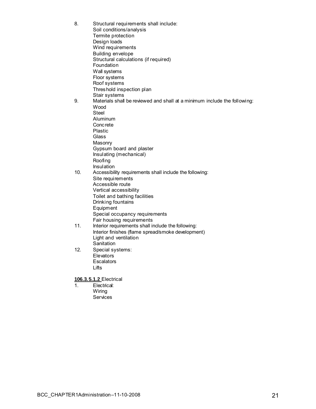- 8. Structural requirements shall include: Soil conditions/analysis Termite protection Design loads Wind requirements Building envelope Structural calculations (if required) Foundation Wall systems Floor systems Roof systems Threshold inspection plan Stair systems 9. Materials shall be reviewed and shall at a minimum include the following: Wood Steel Aluminum Concrete Plastic Glass Masonry Gypsum board and plaster Insulating (mechanical) Roofing Insulation 10. Accessibility requirements shall include the following: Site requirements Accessible route Vertical accessibility Toilet and bathing facilities Drinking fountains **Equipment**  Special occupancy requirements Fair housing requirements 11. Interior requirements shall include the following: Interior finishes (flame spread/smoke development) Light and ventilation **Sanitation** 12. Special systems: **Elevators Escalators**  Lifts **106.3.5.1.2** Electrical
	- 1. Electrical: Wiring **Services**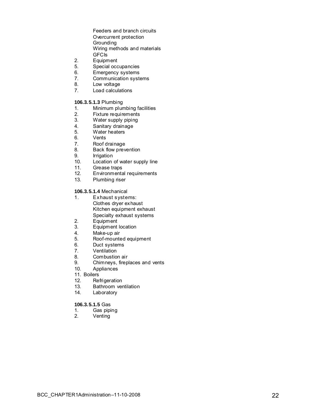Feeders and branch circuits Overcurrent protection **Grounding** Wiring methods and materials

- GFCIs<br>2. Equipm
- 2. Equipment<br>5. Special occ Special occupancies
- 
- 6. Emergency systems<br>7. Communication syste 7. Communication systems<br>8. Low voltage
- Low voltage
- 7. Load calculations

#### **106.3.5.1.3** Plumbing

- 1. Minimum plumbing facilities<br>2. Fixture requirements
- 2. Fixture requirements<br>3. Water supply piping
- 3. Water supply piping<br>4. Sanitary drainage
- 4. Sanitary drainage<br>5. Water heaters
- 5. Water heaters<br>6. Vents
- **Vents**
- 7. Roof drainage<br>8. Back flow prev
- Back flow prevention
- 9. Irrigation<br>10. Location
- 10. Location of water supply line<br>11. Grease traps
- 11. Grease traps<br>12. Environmenta
- 12. Environmental requirements<br>13. Plumbing riser
- Plumbing riser

#### **106.3.5.1.4** Mechanical

- 1. Exhaust systems: Clothes dryer exhaust Kitchen equipment exhaust Specialty exhaust systems
- 2. Equipment<br>3. Equipment
- Equipment location
- 4. Make-up air
- 5. Roof-mounted equipment
- 6. Duct systems
- 7. Ventilation
- 8. Combustion air
- 9. Chimneys, fireplaces and vents
- 10. Appliances<br>11. Boilers
- 
- 12. Refrigeration
- 13. Bathroom ventilation
- 14. Laboratory

#### **106.3.5.1.5** Gas

- 1. Gas piping
- 2. Venting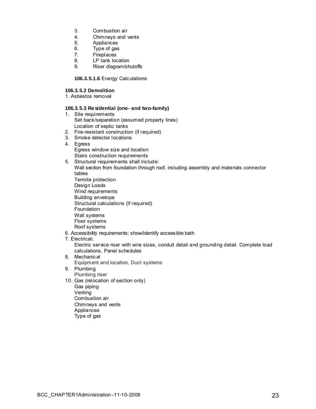- 3. Combustion air
- 4. Chimneys and vents<br>5. Appliances
- 5. Appliances<br>6. Type of gas
- Type of gas
- 7. Fireplaces<br>8. LP tank loc
- 8. LP tank location<br>9. Riser diagram/sh
- Riser diagram/shutoffs

**106.3.5.1.6** Energy Calculations

#### **106.3.5.2 Demolition**

1. Asbestos removal

#### **106.3.5.3 Residential (one- and two-family)**

- 1. Site requirements Set back/separation (assumed property lines) Location of septic tanks
- 2. Fire-resistant construction (if required)
- 3. Smoke detector locations
- 4. Egress Egress window size and location Stairs construction requirements
- 5. Structural requirements shall include: Wall section from foundation through roof, including assembly and materials connector tables Termite protection Design Loads Wind requirements Building envelope Structural calculations (if required) **Foundation**  Wall systems Floor systems Roof systems 6. Accessibility requirements: show/identify accessible bath
- 7. Electrical**:**

Electric service riser with wire sizes, conduit detail and grounding detail. Complete load calculations, Panel schedules

- 8. Mechanical Equipment and location, Duct systems
- 9. Plumbing Plumbing riser
- 10. Gas (relocation of section only) Gas piping Venting Combustion air Chimneys and vents Appliances
	- Type of gas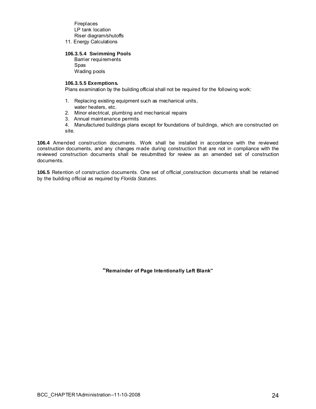Fireplaces LP tank location Riser diagram/shutoffs

11. Energy Calculations

#### **106.3.5.4****Swimming Pools**

 Barrier requirements Spas Wading pools

#### **106.3.5.5 Exemptions.**

Plans examination by the building official shall not be required for the following work:

- 1. Replacing existing equipment such as mechanical units,
	- water heaters, etc.
- 2. Minor electrical, plumbing and mechanical repairs
- 3. Annual maintenance permits
- 4. Manufactured buildings plans except for foundations of buildings, which are constructed on site.

**106.4** Amended construction documents. Work shall be installed in accordance with the reviewed construction documents, and any changes made during construction that are not in compliance with the reviewed construction documents shall be resubmitted for review as an amended set of construction documents.

106.5 Retention of construction documents. One set of official\_construction documents shall be retained by the building official as required by *Florida Statutes.* 

**"Remainder of Page Intentionally Left Blank"**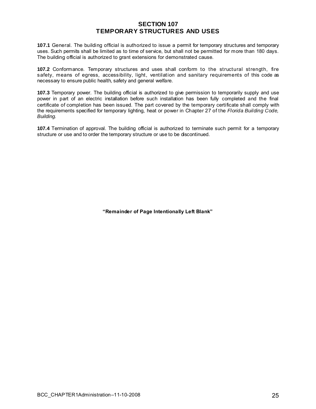## **SECTION 107 TEMPORARY STRUCTURES AND USES**

<span id="page-25-0"></span>**107.1** General. The building official is authorized to issue a permit for temporary structures and temporary uses. Such permits shall be limited as to time of service, but shall not be permitted for more than 180 days. The building official is authorized to grant extensions for demonstrated cause.

**107.2** Conformance. Temporary structures and uses shall conform to the structural strength, fire safety, means of egress, accessibility, light, ventilation and sanitary requirements of this code as necessary to ensure public health, safety and general welfare.

**107.3** Temporary power. The building official is authorized to give permission to temporarily supply and use power in part of an electric installation before such installation has been fully completed and the final certificate of completion has been issued. The part covered by the temporary certificate shall comply with the requirements specified for temporary lighting, heat or power in Chapter 27 of the *Florida Building Code, Building.* 

**107.4** Termination of approval. The building official is authorized to terminate such permit for a temporary structure or use and to order the temporary structure or use to be discontinued.

**"Remainder of Page Intentionally Left Blank"**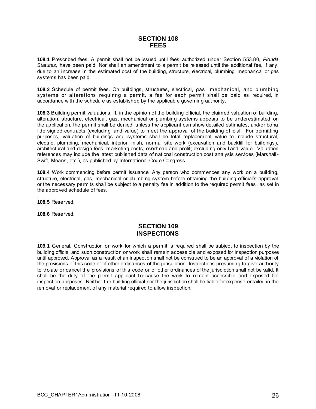## **SECTION 108 FEES**

<span id="page-26-0"></span>**108.1** Prescribed fees. A permit shall not be issued until fees authorized under Section 553.80, *Florida Statutes,* have been paid. Nor shall an amendment to a permit be released until the additional fee, if any, due to an increase in the estimated cost of the building, structure, electrical, plumbing, mechanical or gas systems has been paid.

**108.2** Schedule of permit fees. On buildings, structures, electrical, gas, mechanical, and plumbing systems or alterations requiring a permit, a fee for each permit shall be paid as required, in accordance with the schedule as established by the applicable governing authority.

**108.3** Building permit valuations. If, in the opinion of the building official, the claimed valuation of building, alteration, structure, electrical, gas, mechanical or plumbing systems appears to be underestimated on the application, the permit shall be denied, unless the applicant can show detailed estimates, and/or bona fide signed contracts (excluding land value) to meet the approval of the building official. For permitting purposes, valuation of buildings and systems shall be total replacement value to include structural, electric, plumbing, mechanical, interior finish, normal site work (excavation and backfill for buildings), architectural and design fees, marketing costs, overhead and profit; excluding only l and value. Valuation references may include the latest published data of national construction cost analysis services (Marshall - Swift, Means, etc.), as published by International Code Congress.

**108.4** Work commencing before permit issuance. Any person who commences any work on a building, structure, electrical, gas, mechanical or plumbing system before obtaining the building official's approval or the necessary permits shall be subject to a penalty fee in addition to the required permit fees , as set in the approved schedule of fees.

. **108.5** Reserved.

**108.6** Reserved.

## **SECTION 109 INSPECTIONS**

**109.1** General. Construction or work for which a permit is required shall be subject to inspection by the building official and such construction or work shall remain accessible and exposed for inspection purposes until approved. Approval as a result of an inspection shall not be construed to be an approval of a violation of the provisions of this code or of other ordinances of the jurisdiction. Inspections presuming to give authority to violate or cancel the provisions of this code or of other ordinances of the jurisdiction shall not be valid. It shall be the duty of the permit applicant to cause the work to remain accessible and exposed for inspection purposes. Neither the building official nor the jurisdiction shall be liable for expense entailed in the removal or replacement of any material required to allow inspection.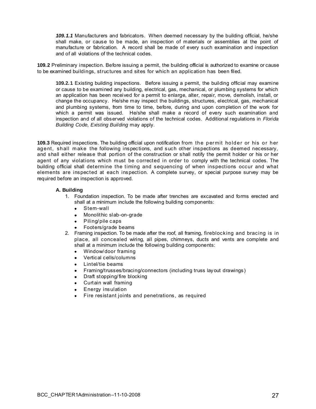*109.1.1* Manufacturers and fabricators. When deemed necessary by the building official, he/she shall make, or cause to be made, an inspection of materials or assemblies at the point of manufacture or fabrication. A record shall be made of every such examination and inspection and of all violations of the technical codes.

**109.2** Preliminary inspection. Before issuing a permit, the building official is authorized to examine or cause to be examined buildings, structures and sites for which an application has been filed.

**109.2.1** Existing building inspections. Before issuing a permit, the building official may examine or cause to be examined any building, electrical, gas, mechanical, or plumbing systems for which an application has been received for a permit to enlarge, alter, repair, move, demolish, install, or change the occupancy. He/she may inspect the buildings, structures, electrical, gas, mechanical and plumbing systems, from time to time, before, during and upon completion of the work for which a permit was issued. He/she shall make a record of every such examination and inspection and of all observed violations of the technical codes. Additional regulations in *Florida Building Code, Existing Building* may apply.

**109.3** Required inspections. The building official upon notification from the permit holder or his or her agent, shall m ake the following inspections, and such other inspections as deemed necessary, and shall either release that portion of the construction or shall notify the permit holder or his or her agent of any violations which must be corrected in order to comply with the technical codes. The building official shall determine the timing and sequencing of when inspections occur and what elements are inspected at each inspection. A complete survey, or special purpose survey may be required before an inspection is approved.

#### **A. Building**

- 1. Foundation inspection. To be made after trenches are excavated and forms erected and shall at a minimum include the following building components:
	- Stem-wall
	- Monolithic slab-on-grade
	- Piling/pile caps
	- Footers/grade beams
- 2. Framing inspection. To be made after the roof, all framing, fireblocking and bracing is in place, all concealed wiring, all pipes, chimneys, ducts and vents are complete and shall at a minimum include the following building components:
	- Window/door framing
	- Vertical cells/columns
	- Lintel/tie beams
	- Framing/trusses/bracing/connectors (including truss layout drawings)
	- Draft stopping/fire blocking
	- Curtain wall framing
	- Energy insulation
	- Fire resistant joints and penetrations, as required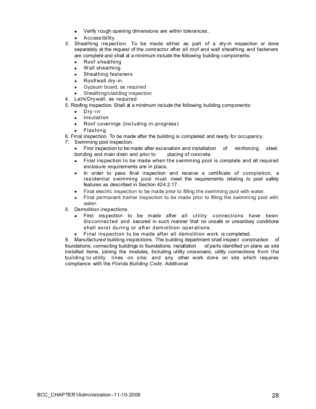- Verify rough opening dimensions are within tolerances.
- Accessibility.
- 3. Sheathing inspection. To be made either as part of a dry-in inspection or done separately at the request of the contractor after all roof and wall sheathing and fasteners are complete and shall at a minimum include the following building components:
	- Roof sheathing
	- Wall sheathing
	- Sheathing fasteners
	- Roof/wall dry-in.
	- Gypsum board, as required
	- Sheathing/cladding inspection
- 4. Lath/Drywall, as required
- 5. Roofing inspection. Shall at a minimum include the following building components:
	- $\bullet$  Dry-in
	- Insulation
	- Roof coverings (including in-progress)
	- Flashing
- 6. Final inspection. To be made after the building is completed and ready for occupancy.
- 7.Swimming pool inspection.
	- First inspection to be made after excavation and installation of reinforcing steel, bonding and main drain and prior to placing of concrete. bonding and main drain and prior to
	- Final inspection to be made when the swimming pool is complete and all required enclosure requirements are in place.
	- In order to pass final inspection and receive a certificate of completion, a residential swimming pool must meet the requirements relating to pool safety features as described in Section 424.2.17.
	- Final electric inspection to be made prior to filling the swimming pool with water.
	- Final permanent barrier inspection to be made prior to filling the swimming pool with water.
- 8. Demolition inspections.
	- First inspection to be made after all utility connections have been disconnected and secured in such manner that no unsafe or unsanitary conditions shall exist during or after demolition operations.
	- Final inspection to be made after all demolition work is completed.

9. Manufactured building inspections. The building department shall inspect construction of foundations; connecting buildings to foundations; installation of parts identified on plans as site installed items, joining the modules, Including utility crossovers; utility connections from the building to utility lines on site; and any other work done on site which requires compliance with the *Florida Building Code.* Additional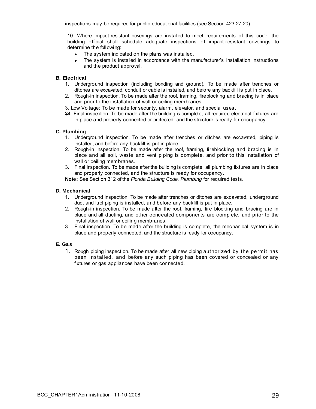inspections may be required for public educational facilities (see Section 423.27.20).

10. Where impact-resistant coverings are installed to meet requirements of this code, the building official shall schedule adequate inspections of impact-resistant coverings to determine the following:

- The system indicated on the plans was installed.
- The system is installed in accordance with the manufacturer's installation instructions and the product approval.

#### **B. Electrical**

- 1. Underground inspection (including bonding and ground). To be made after trenches or ditches are excavated, conduit or cable is installed, and before any backfill is put in place.
- 2. Rough-in inspection. To be made after the roof, framing, fireblocking and bracing is in place and prior to the installation of wall or ceiling membranes.
- 3. Low Voltage: To be made for security, alarm, elevator, and special uses.
- 34. Final inspection. To be made after the building is complete, all required electrical fixtures are in place and properly connected or protected, and the structure is ready for occupancy.

#### **C. Plumbing**

- 1. Underground inspection. To be made after trenches or ditches are excavated, piping is installed, and before any backfill is put in place.
- 2. Rough-in inspection. To be made after the roof, framing, fireblocking and bracing is in place and all soil, waste and vent piping is complete, and prior to this installation of wall or ceiling membranes.
- 3. Final inspection. To be made after the building is complete, all plumbing fixtures are in place and properly connected, and the structure is ready for occupancy.

**Note:** See Section 312 of the *Florida Building Code, Plumbing* for required tests.

#### **D. Mechanical**

- 1. Underground inspection. To be made after trenches or ditches are excavated, underground duct and fuel piping is installed, and before any backfill is put in place.
- 2. Rough-in inspection. To be made after the roof, framing, fire blocking and bracing are in place and all ducting, and other concealed components are complete, and prior to the installation of wall or ceiling membranes.
- 3. Final inspection. To be made after the building is complete, the mechanical system is in place and properly connected, and the structure is ready for occupancy.

#### **E. Gas**

1. Rough piping inspection. To be made after all new piping authorized by the permit has been installed, and before any such piping has been covered or concealed or any fixtures or gas appliances have been connected.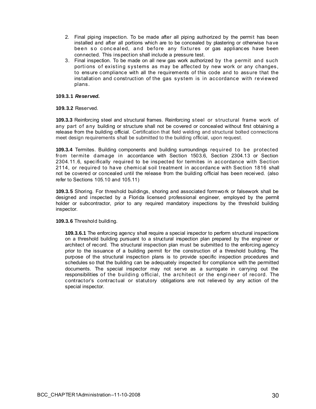- 2. Final piping inspection. To be made after all piping authorized by the permit has been installed and after all portions which are to be concealed by plastering or otherwise have been so concealed, and before any fixtures or gas appliances have been connected. This inspection shall include a pressure test.
- 3. Final inspection. To be made on all new gas work authorized by the permit and such portions of existing systems as may be affected by new work or any changes, to ensure compliance with all the requirements of this code and to assure that the installation and construction of the gas system is in accordance with reviewed plans.

#### **109.3.1** *Reserved.*

#### **109.3.2** Reserved.

**109.3.3** Reinforcing steel and structural frames. Reinforcing steel or structural frame work of any part of any building or structure shall not be covered or concealed without first obtaining a release from the building official. Certification that field welding and structural bolted connections meet design requirements shall be submitted to the building official, upon request.

**109.3.4** Termites. Building components and building surroundings required to be protected from termite damage in accordance with Section 1503.6, Section 2304.13 or Section 2304.11.6, specifically required to be inspected for termites in accordance with Section 2114, or required to have chemical soil treatment in accordance with Section 1816 shall not be covered or concealed until the release from the building official has been received. (also refer to Sections 105.10 and 105.11)

**109.3.5** Shoring. For threshold buildings, shoring and associated formwork or falsework shall be designed and inspected by a Florida licensed professional engineer, employed by the permit holder or subcontractor, prior to any required mandatory inspections by the threshold building inspector.

#### **109.3.6** Threshold building.

**109.3.6.1** The enforcing agency shall require a special inspector to perform structural inspections on a threshold building pursuant to a structural inspection plan prepared by the engineer or architect of record. The structural inspection plan must be submitted to the enforcing agency prior to the issuance of a building permit for the construction of a threshold building. The purpose of the structural inspection plans is to provide specific inspection procedures and schedules so that the building can be adequately inspected for compliance with the permitted documents. The special inspector may not serve as a surrogate in carrying out the responsibilities of the building official, the architect or the engineer of record. The contractor's contractual or statutory obligations are not relieved by any action of the special inspector.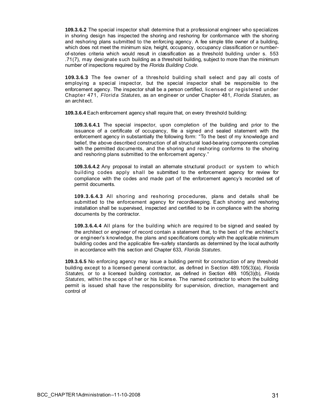**109.3.6.2** The special inspector shall determine that a professional engineer who specializes in shoring design has inspected the shoring and reshoring for conformance with the shoring and reshoring plans submitted to the enforcing agency. A fee simple title owner of a building, which does not meet the minimum size, height, occupancy, occupancy classification or numberof-stories criteria which would result in classification as a threshold building under s. 553 .71(7), may designate such building as a threshold building, subject to more than the minimum number of inspections required by the *Florida Building Code.* 

**109.3.6.3** The fee owner of a threshold building shall select and pay all costs of employing a special inspector, but the special inspector shall be responsible to the enforcement agency. The inspector shall be a person certified, licensed or registered under Chapter 471, *Florida Statutes,* as an engineer or under Chapter 481, *Florida Statutes,* as an architect.

**109.3.6.4** Each enforcement agency shall require that, on every threshold building:

**109.3.6.4.1** The special inspector, upon completion of the building and prior to the issuance of a certificate of occupancy, file a signed and sealed statement with the enforcement agency in substantially the following form: "To the best of my knowledge and belief, the above described construction of all structural load-bearing components complies with the permitted documents, and the shoring and reshoring conforms to the shoring and reshoring plans submitted to the enforcement agency."

**109.3.6.4.2** Any proposal to install an alternate structural product or system to which building codes apply shall be submitted to the enforcement agency for review for compliance with the codes and made part of the enforcement agency's recorded set of permit documents.

**109.3.6.4.3** All shoring and reshoring procedures, plans and details shall be submitted to the enforcement agency for recordkeeping. Each shoring and reshoring installation shall be supervised, inspected and certified to be in compliance with the shoring documents by the contractor.

**109.3.6.4.4** All plans for the building which are required to be signed and sealed by the architect or engineer of record contain a statement that, to the best of the architect's or engineer's knowledge, the plans and specifications comply with the applicable minimum building codes and the applicable fire-safety standards as determined by the local authority in accordance with this section and Chapter 633, *Florida Statutes.* 

**109.3.6.5** No enforcing agency may issue a building permit for construction of any threshold building except to a licensed general contractor, as defined in Section 489.105(3)(a), *Florida Statutes,* or to a licensed building contractor, as defined in Section 489. 105(3)(b), *Florida Statutes,* within the scope of her or his license. The named contractor to whom the building permit is issued shall have the responsibility for supervision, direction, management and control of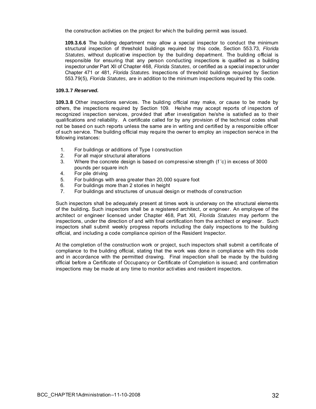the construction activities on the project for which the building permit was issued.

**109.3.6.6** The building department may allow a special inspector to conduct the minimum structural inspection of threshold buildings required by this code, Section 553.73, *Florida Statutes,* without duplicative inspection by the building department. The building official is responsible for ensuring that any person conducting inspections is qualified as a building inspector under Part XII of Chapter 468, *Florida Statutes,* or certified as a special inspector under Chapter 471 or 481, *Florida Statutes.* Inspections of threshold buildings required by Section 553.79(5), *Florida Statutes,* are in addition to the minimum inspections required by this code.

#### **109.3.7** *Reserved.*

**109.3.8** Other inspections services. The building official may make, or cause to be made by others, the inspections required by Section 109. He/she may accept reports of inspectors of recognized inspection services, provided that after investigation he/she is satisfied as to their qualifications and reliability. A certificate called for by any provision of the technical codes shall not be based on such reports unless the same are in writing and certified by a responsible officer of such service. The building official may require the owner to employ an inspection service in the following instances:

- 1. For buildings or additions of Type I construction
- 2. For all major structural alterations
- 3. Where the concrete design is based on compressive strength (f 'c) in excess of 3000 pounds per square inch
- 4. For pile driving
- 5. For buildings with area greater than 20,000 square foot
- 6. For buildings more than 2 stories in height
- 7. For buildings and structures of unusual design or methods of construction

Such inspectors shall be adequately present at times work is underway on the structural elements of the building**.** Such inspectors shall be a registered architect, or engineer. An employee of the architect or engineer licensed under Chapter 468, Part XII, *Florida Statutes* may perform the inspections, under the direction of and with final certification from the architect or engineer. Such inspectors shall submit weekly progress reports including the daily inspections to the building official, and including a code compliance opinion of the Resident Inspector.

At the completion of the construction work or project, such inspectors shall submit a certificate of compliance to the building official, stating that the work was done in compliance with this code and in accordance with the permitted drawing. Final inspection shall be made by the building official before a Certificate of Occupancy or Certificate of Completion is issued; and confirmation inspections may be made at any time to monitor activities and resident inspectors.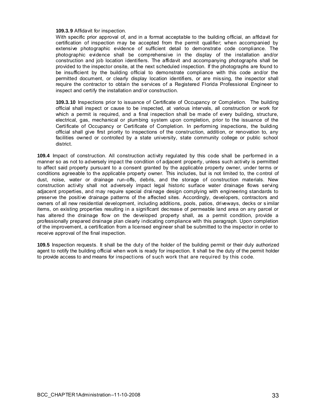#### **109.3.9** Affidavit for inspection.

With specific prior approval of, and in a format acceptable to the building official, an affidavit for certification of inspection may be accepted from the permit qualifier; when accompanied by extensive photographic evidence of sufficient detail to demonstrate code compliance. The photographic evidence shall be comprehensive in the display of the installation and/or construction and job location identifiers. The affidavit and accompanying photographs shall be provided to the inspector onsite, at the next scheduled inspection. If the photographs are found to be insufficient by the building official to demonstrate compliance with this code and/or the permitted document, or clearly display location identifiers, or are missing, the inspector shall require the contractor to obtain the services of a Registered Florida Professional Engineer to inspect and certify the installation and/or construction.

**109.3.10** Inspections prior to issuance of Certificate of Occupancy or Completion. The building official shall inspect or cause to be inspected, at various intervals, all construction or work for which a permit is required, and a final inspection shall be made of every building, structure, electrical, gas, mechanical or plumbing system upon completion, prior to the issuance of the Certificate of Occupancy or Certificate of Completion. In performing inspections, the building official shall give first priority to inspections of the construction, addition, or renovation to, any facilities owned or controlled by a state university, state community college or public school district.

**109.4** Impact of construction. All construction activity regulated by this code shall be performed in a manner so as not to adversely impact the condition of adjacent property, unless such activity is permitted to affect said property pursuant to a consent granted by the applicable property owner, under terms or conditions agreeable to the applicable property owner. This includes, but is not limited to, the c ontrol of dust, noise, water or drainage run-offs, debris, and the storage of construction materials. New construction activity shall not adversely impact legal historic surface water drainage flows serving adjacent properties, and may require special drai nage design complying with engineering standards to preserve the positive drainage patterns of the affected sites. Accordingly, developers, contractors and owners of all new residential development, including additions, pools, patios, driveways, decks or s imilar items, on existing properties resulting in a significant decrease of permeable land area on any parcel or has altered the drainage flow on the developed property shall, as a permit condition, provide a professionally prepared drainage plan clearly indicating compliance with this paragraph. Upon completion of the improvement, a certification from a licensed engineer shall be submitted to the inspector in order to receive approval of the final inspection.

**109.5** Inspection requests. It shall be the duty of the holder of the building permit or their duly authorized agent to notify the building official when work is ready for inspection. It shall be the duty of the permit holder to provide access to and means for inspections of such work that are required by this code.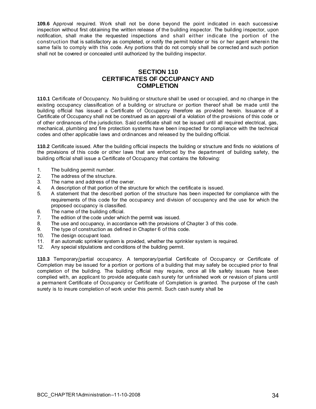<span id="page-34-0"></span>**109.6** Approval required. Work shall not be done beyond the point indicated in each successive inspection without first obtaining the written release of the building inspector. The building inspector, upon notification, shall make the requested inspections and shall either indicate the portion of the construction that is satisfactory as completed, or notify the permit holder or his or her agent wherein the same fails to comply with this code. Any portions that do not comply shall be corrected and such portion shall not be covered or concealed until authorized by the building inspector.

## **SECTION 110 CERTIFICATES OF OCCUPANCY AND COMPLETION**

**110.1** Certificate of Occupancy. No building or structure shall be used or occupied, and no change in the existing occupancy classification of a building or structure or portion thereof shall be made until the building official has issued a Certificate of Occupancy therefore as provided herein. Issuance of a Certificate of Occupancy shall not be construed as an approval of a violation of the provisions of this code or of other ordinances of the jurisdiction. Said certificate shall not be issued until all required electrical, gas, mechanical, plumbing and fire protection systems have been inspected for compliance with the technical codes and other applicable laws and ordinances and released by the building official.

**110.2** Certificate issued. After the building official inspects the building or structure and finds no violations of the provisions of this code or other laws that are enforced by the department of building safety, the building official shall issue a Certificate of Occupancy that contains the following:

- 1. The building permit number.
- 
- 2. The address of the structure.<br>3. The name and address of the The name and address of the owner.
- 4. A description of that portion of the structure for which the certificate is issued.
- 5. A statement that the described portion of the structure has been inspected for compliance with the requirements of this code for the occupancy and division of occupancy and the use for which the proposed occupancy is classified.
- 6. The name of the building official.
- 7. The edition of the code under which the permit was issued.
- 8. The use and occupancy, in accordance with the provisions of Chapter 3 of this code.
- 9. The type of construction as defined in Chapter 6 of this code.
- 10. The design occupant load.
- 11. If an automatic sprinkler system is provided, whether the sprinkler system is required.
- 12. Any special stipulations and conditions of the building permit.

**110.3** Temporary/partial occupancy. A temporary/partial Certificate of Occupancy or Certificate of Completion may be issued for a portion or portions of a building that may safely be occupied prior to final completion of the building. The building official may require, once all life safety issues have been complied with, an applicant to provide adequate cash surety for unfinished work or revision of plans until a permanent Certificate of Occupancy or Certificate of Completion is granted. The purpose of the cash surety is to insure completion of work under this permit. Such cash surety shall be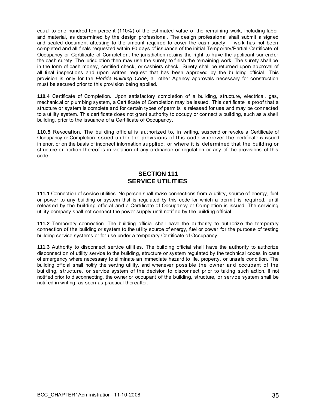<span id="page-35-0"></span>equal to one hundred ten percent (110%) of the estimated value of the remaining work, including labor and material, as determined by the design professional. The design professional shall submit a signed and sealed document attesting to the amount required to cover the cash surety. If work has not been completed and all finals requested within 90 days of issuance of the initial Temporary/Partial Certificate of Occupancy or Certificate of Completion, the jurisdiction retains the right to have the applicant surrender the cash surety. The jurisdiction then may use the surety to finish the remaining work. The surety shall be in the form of cash money, certified check, or cashiers check. Surety shall be returned upon approval of all final inspections and upon written request that has been approved by the building official. This provision is only for the *Florida Building Code*, all other Agency approvals necessary for construction must be secured prior to this provision being applied.

**110.4** Certificate of Completion. Upon satisfactory completion of a building, structure, electrical, gas, mechanical or plumbing system, a Certificate of Completion may be issued. This certificate is proof t hat a structure or system is complete and for certain types of permits is released for use and may be connected to a utility system. This certificate does not grant authority to occupy or connect a building, such as a shell building, prior to the issuance of a Certificate of Occupancy.

**110.5** Revocation. The building official is authorized to, in writing, suspend or revoke a Certificate of Occupancy or Completion issued under the provisions of this code wherever the certificate is issued in error, or on the basis of incorrect information supplied, or where it is determined that the building or structure or portion thereof is in violation of any ordinance or regulation or any of the provisions of this code.

## **SECTION 111 SERVICE UTILITIES**

**111.1** Connection of service utilities. No person shall make connections from a utility, source of energy, fuel or power to any building or system that is regulated by this code for which a permit is required, until released by the building official and a Certificate of Occupancy or Completion is issued. The servicing utility company shall not connect the power supply until notified by the building official.

. **111.2** Temporary connection. The building official shall have the authority to authorize the temporary connection of the building or system to the utility source of energy, fuel or power for the purpose of testing building service systems or for use under a temporary Certificate of Occupancy .

**111.3** Authority to disconnect service utilities. The building official shall have the authority to authorize disconnection of utility service to the building, structure or system regulated by the technical codes in case of emergency where necessary to eliminate an immediate hazard to life, property, or unsafe condition. The building official shall notify the serving utility, and whenever possible the owner and occupant of the building, structure, or service system of the decision to disconnect prior to taking such action. If not notified prior to disconnecting, the owner or occupant of the building, structure, or service system shall be notified in writing, as soon as practical thereafter.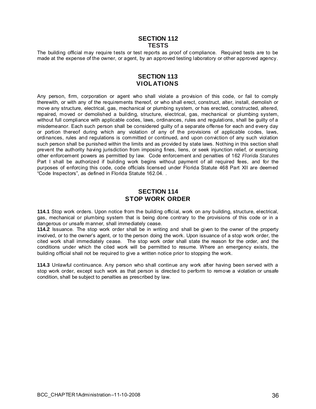## **SECTION 112 TESTS**

<span id="page-36-0"></span>The building official may require tests or test reports as proof of compliance. Required tests are to be made at the expense of the owner, or agent, by an approved testing laboratory or other approved agency.

## **SECTION 113 VIOLATIONS**

Any person, firm, corporation or agent who shall violate a provision of this code, or fail to comply therewith, or with any of the requirements thereof, or who shall erect, construct, alter, install, demolish or move any structure, electrical, gas, mechanical or plumbing system, or has erected, constructed, altered, repaired, moved or demolished a building, structure, electrical, gas, mechanical or plumbing system, without full compliance with applicable codes, laws, ordinances, rules and regulations, shall be guilty of a misdemeanor. Each such person shall be considered guilty of a separate offense for each and every day or portion thereof during which any violation of any of the provisions of applicable codes, laws, ordinances, rules and regulations is committed or continued, and upon conviction of any such violation such person shall be punished within the limits and as provided by state laws. Nothing in this section shall prevent the authority having jurisdiction from imposing fines, liens, or seek injunction relief, or exercising other enforcement powers as permitted by law. Code enforcement and penalties of 162 *Florida Statutes* Part I shall be authorized if building work begins without payment of all required fees, and for the purposes of enforcing this code, code officials licensed under Florida Statute 468 Part XII are deemed "Code Inspectors", as defined in Florida Statute 162.04. .

## **SECTION 114 STOP WORK ORDER**

**114.1** Stop work orders. Upon notice from the building official, work on any building, structure, electrical, gas, mechanical or plumbing system that is being done contrary to the provisions of this code or in a dangerous or unsafe manner, shall immediately cease.

**114.2** Issuance. The stop work order shall be in writing and shall be given to the owner of the property involved, or to the owner's agent, or to the person doing the work. Upon issuance of a stop work order, the cited work shall immediately cease. The stop work order shall state the reason for the order, and the conditions under which the cited work will be permitted to resume. Where an emergency exists, the building official shall not be required to give a written notice prior to stopping the work.

**114.3** Unlawful continuance. Any person who shall continue any work after having been served with a stop work order, except such work as that person is directed to perform to remove a violation or unsafe condition, shall be subject to penalties as prescribed by law.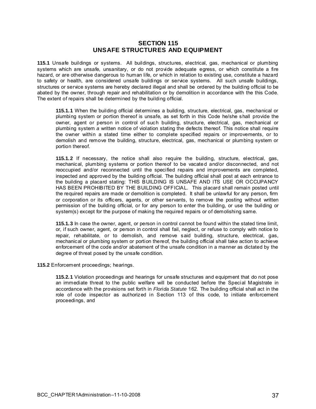## **SECTION 115 UNSAFE STRUCTURES AND EQUIPMENT**

<span id="page-37-0"></span>**115.1** Unsafe buildings or systems. All buildings, structures, electrical, gas, mechanical or plumbing systems which are unsafe, unsanitary, or do not provide adequate egress, or which constitute a fire hazard, or are otherwise dangerous to human life, or which in relation to existing use, constitute a hazard to safety or health, are considered unsafe buildings or service systems. All such unsafe buildings, structures or service systems are hereby declared illegal and shall be ordered by the building official to be abated by the owner, through repair and rehabilitation or by demolition in accordance with the this Code. The extent of repairs shall be determined by the building official.

**115.1.1** When the building official determines a building, structure, electrical, gas, mechanical or plumbing system or portion thereof is unsafe, as set forth in this Code he/she shall provide the owner, agent or person in control of such building, structure, electrical, gas, mechanical or plumbing system *a* written notice of violation stating the defects thereof. This notice shall require the owner within a stated time either to complete specified repairs or improvements, or to demolish and remove the building, structure, electrical, gas, mechanical or plumbing system or portion thereof.

**115.1.2** If necessary, the notice shall also require the building, structure, electrical, gas, mechanical, plumbing systems or portion thereof to be vacate d and/or disconnected, and not reoccupied and/or reconnected until the specified repairs and improvements are completed, inspected and approved by the building official. The building official shall post at each entrance to the building a placard stating: THIS BUILDING IS UNSAFE AND ITS USE OR OCCUPANCY HAS BEEN PROHIBITED BY THE BUILDING OFFICIAL. This placard shall remain posted until the required repairs are made or demolition is completed. It shall be unlawful for any person, firm or corporation or its officers, agents, or other servants, to remove the posting without written permission of the building official, or for any person to enter the building, or use the building or system(s) except for the purpose of making the required repairs or of demolishing same.

**115.1.3** In case the owner, agent, or person in control cannot be found within the stated time limit, or, if such owner, agent, or person in control shall fail, neglect, or refuse to comply with notice to repair, rehabilitate, or to demolish, and remove said building, structure, electrical, gas, mechanical or plumbing system or portion thereof, the building official shall take action to achieve enforcement of the code and/or abatement of the unsafe condition in a manner as dictated by the degree of threat posed by the unsafe condition.

**115.2** Enforcement proceedings; hearings.

**115.2.1** Violation proceedings and hearings for unsafe structures and equipment that do not pose an immediate threat to the public welfare will be conducted before the Special Magistrate in accordance with the provisions set forth in *Florida Statute* 162. The building official shall act in the role of code inspector as authorized in Section 113 of this code, to initiate enforcement proceedings, and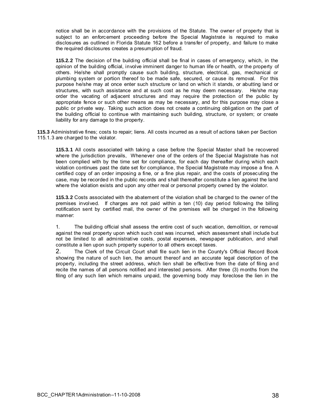notice shall be in accordance with the provisions of the Statute. The owner of property that is subject to an enforcement proceeding before the Special Magistrate is required to make disclosures as outlined in Florida Statute 162 before a transfer of property, and failure to make the required disclosures creates a presumption of fraud.

**115.2.2** The decision of the building official shall be final in cases of emergency, which, in the opinion of the building official, involve imminent danger to human life or health, or the property of others. He/she shall promptly cause such building, structure, electrical, gas, mechanical or plumbing system or portion thereof to be made safe, secured, or cause its removal. For this purpose he/she may at once enter such structure or land on which it stands, or abutting land or structures, with such assistance and at such cost as he may deem necessary. He/she may order the vacating of adjacent structures and may require the protection of the public by appropriate fence or such other means as may be necessary, and for this purpose may close a public or private way. Taking such action does not create a continuing obligation on the part of the building official to continue with maintaining such building, structure, or system; or create liability for any damage to the property.

**115.3** Administrative fines; costs to repair; liens. All costs incurred as a result of actions taken per Section 115.1.3 are charged to the violator.

**115.3.1** All costs associated with taking a case before the Special Master shall be recovered where the jurisdiction prevails, Whenever one of the orders of the Special Magistrate has not been complied with by the time set for compliance, for each day thereafter during which each violation continues past the date set for compliance, the Special Magistrate may impose a fine. A certified copy of an order imposing a fine, or a fine plus repair, and the costs of prosecuting the case, may be recorded in the public records and shall thereafter constitute a lien against the land where the violation exists and upon any other real or personal property owned by the violator.

**115.3.2** Costs associated with the abatement of the violation shall be charged to the owner of the premises involved. If charges are not paid within a ten (10) day period following the billing notification sent by certified mail, the owner of the premises will be charged in the following manner:

1. The building official shall assess the entire cost of such vacation, demolition, or removal against the real property upon which such cost was incurred, which assessment shall include but not be limited to all administrative costs, postal expenses, newspaper publication, and shall constitute a lien upon such property superior to all others except taxes.

2. The Clerk of the Circuit Court shall file such lien in the County's Official Record Book showing the nature of such lien, the amount thereof and an accurate legal description of the property, including the street address, which lien shall be effective from the date of filing and recite the names of all persons notified and interested persons. After three (3) months from the filing of any such lien which remains unpaid, the governing body may foreclose the lien in the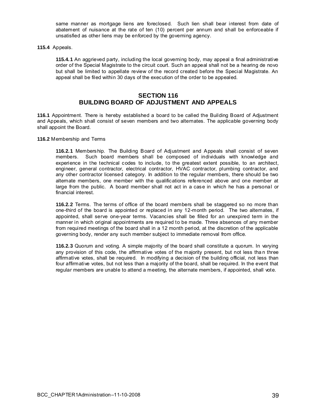same manner as mortgage liens are foreclosed. Such lien shall bear interest from date of abatement of nuisance at the rate of ten (10) percent per annum and shall be enforceable if unsatisfied as other liens may be enforced by the governing agency.

<span id="page-39-0"></span>**115.4** Appeals.

**115.4.1** An aggrieved party, including the local governing body, may appeal a final administrative order of the Special Magistrate to the circuit court. Such an appeal shall not be a hearing de novo but shall be limited to appellate review of the record created before the Special Magistrate. An appeal shall be filed within 30 days of the execution of the order to be appealed.

## **SECTION 116 BUILDING BOARD OF ADJUSTMENT AND APPEALS**

**116.1** Appointment. There is hereby established a board to be called the Building Board of Adjustment and Appeals, which shall consist of seven members and two alternates. The applicable governing body shall appoint the Board.

**116.2** Membership and Terms

**116.2.1** Membership. The Building Board of Adjustment and Appeals shall consist of seven members. Such board members shall be composed of individuals with knowledge and experience in the technical codes to include, to the greatest extent possible, to an architect, engineer, general contractor, electrical contractor, HVAC contractor, plumbing contractor, and any other contractor licensed category. In addition to the regular members, there should be two alternate members, one member with the qualifications referenced above and one member at large from the public. A board member shall not act in a case in which he has a personal or financial interest.

**116.2.2** Terms. The terms of office of the board members shall be staggered so no more than one-third of the board is appointed or replaced in any 12-month period. The two alternates, if appointed, shall serve one-year terms. Vacancies shall be filled for an unexpired term in the manner in which original appointments are required to be made. Three absences of any member from required meetings of the board shall in a 12 month period, at the discretion of the applicable governing body, render any such member subject to immediate removal from office.

**116.2.3** Quorum and voting. A simple majority of the board shall constitute a quorum. In varying any provision of this code, the affirmative votes of the majority present, but not less tha n three affirmative votes, shall be required. In modifying a decision of the building official, not less than four affirmative votes, but not less than a majority of the board, shall be required. In the event that regular members are unable to attend a meeting, the alternate members, if appointed, shall vote.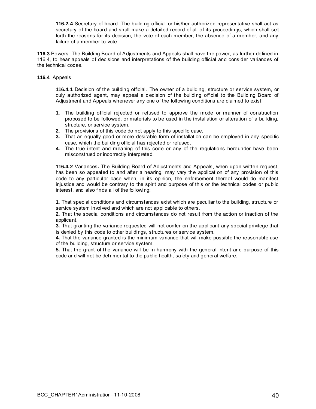**116.2.4** Secretary of board. The building official or his/her authorized representative shall act as secretary of the board and shall make a detailed record of all of its proceedings, which shall set forth the reasons for its decision, the vote of each member, the absence of a member, and any failure of a member to vote.

**116.3** Powers. The Building Board of Adjustments and Appeals shall have the power, as further defined in 116.4, to hear appeals of decisions and interpretations of the building official and consider variances of the technical codes.

#### **116.4** Appeals

**116.4.1** Decision of the building official. The owner of a building, structure or service system, or duly authorized agent, may appeal a decision of the building official to the Building Board of Adjustment and Appeals whenever any one of the following conditions are claimed to exist:

- **1.** The building official rejected or refused to approve the mode or manner of construction proposed to be followed, or materials to be used in the installation or alteration of a building, structure, or service system.
- **2.** The provisions of this code do not apply to this specific case.
- **3.** That an equally good or more desirable form of installation can be employed in any specific case, which the building official has rejected or refused.
- **4.** The true intent and meaning of this code or any of the regulations hereunder have been misconstrued or incorrectly interpreted.

**116.4.2** Variances**.** The Building Board of Adjustments and Appeals, when upon written request, has been so appealed to and after a hearing, may vary the application of any provision of this code to any particular case when, in its opinion, the enforcement thereof would do manifest injustice and would be contrary to the spirit and purpose of this or the technical codes or public interest, and also finds all of the following:

**1.** That special conditions and circumstances exist which are peculiar to the building, structure or service system involved and which are not applicable to others.

**2.** That the special conditions and circumstances do not result from the action or inaction of the applicant.

**3.** That granting the variance requested will not confer on the applicant any special privilege that is denied by this code to other buildings, structures or service system.

**4.** That the variance granted is the minimum variance that will make possible the reasonable use of the building, structure or service system.

**5.** That the grant of the variance will be in harmony with the general intent and purpose of this code and will not be detrimental to the public health, safety and general welfare.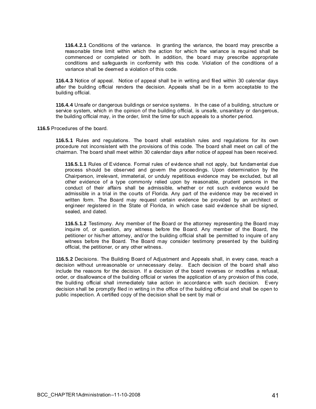**116.4.2.1** Conditions of the variance. In granting the variance, the board may prescribe a reasonable time limit within which the action for which the variance is required shall be commenced or completed or both. In addition, the board may prescribe appropriate conditions and safeguards in conformity with this code. Violation of the conditions of a variance shall be deemed a violation of this code.

**116.4.3** Notice of appeal. Notice of appeal shall be in writing and filed within 30 calendar days after the building official renders the decision. Appeals shall be in a form acceptable to the building official.

**116.4.4** Unsafe or dangerous buildings or service systems. In the case of a building, structure or service system, which in the opinion of the building official, is unsafe, unsanitary or dangerous, the building official may, in the order, limit the time for such appeals to a shorter period.

**116.5** Procedures of the board.

**116.5.1** Rules and regulations. The board shall establish rules and regulations for its own procedure not inconsistent with the provisions of this code. The board shall meet on call of the chairman. The board shall meet within 30 calendar days after notice of appeal has been received.

**116.5.1.1** Rules of Evidence. Formal rules of evidence shall not apply, but fundamental due process should be observed and govern the proceedings. Upon determination by the Chairperson, irrelevant, immaterial, or unduly repetitious evidence may be excluded, but all other evidence of a type commonly relied upon by reasonable, prudent persons in the conduct of their affairs shall be admissible, whether or not such evidence would be admissible in a trial in the courts of Florida. Any part of the evidence may be received in written form. The Board may request certain evidence be provided by an architect or engineer registered in the State of Florida, in which case said evidence shall be signed, sealed, and dated.

**116.5.1.2** Testimony. Any member of the Board or the attorney representing the Board may inquire of, or question, any witness before the Board. Any member of the Board, the petitioner or his/her attorney, and/or the building official shall be permitted to inquire of any witness before the Board. The Board may consider testimony presented by the building official, the petitioner, or any other witness.

**116.5.2** Decisions. The Building Board of Adjustment and Appeals shall, in every case, reach a decision without unreasonable or unnecessary delay. Each decision of the board shall also include the reasons for the decision. If a decision of the board reverses or modifies a refusal, order, or disallowance of the building official or varies the application of any provision of this code, the building official shall immediately take action in accordance with such decision. Every decision shall be promptly filed in writing in the office of the building official and shall be open to public inspection. A certified copy of the decision shall be sent by mail or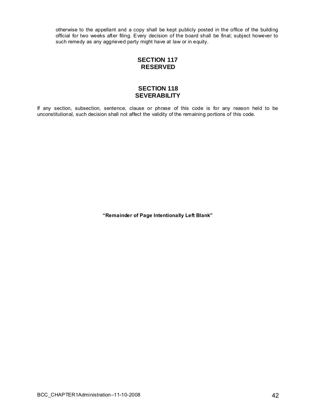<span id="page-42-0"></span>otherwise to the appellant and a copy shall be kept publicly posted in the office of the building official for two weeks after filing. Every decision of the board shall be final; subject however to such remedy as any aggrieved party might have at law or in equity.

## **SECTION 117 RESERVED**

## **SECTION 118 SEVERABILITY**

If any section, subsection, sentence, clause or phrase of this code is for any reason held to be unconstitutional, such decision shall not affect the validity of the remaining portions of this code.

**"Remainder of Page Intentionally Left Blank"**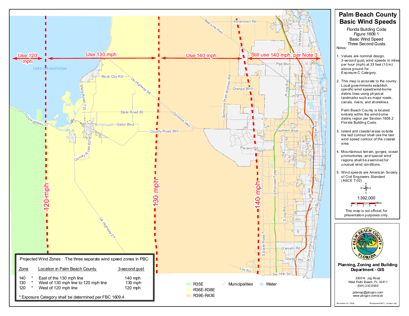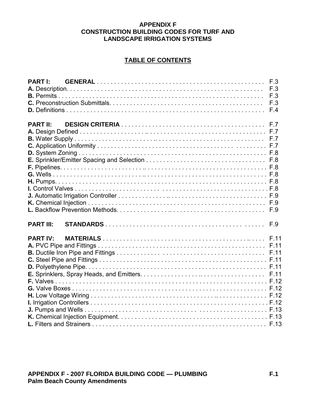## **APPENDIX F CONSTRUCTION BUILDING CODES FOR TURF AND LANDSCAPE IRRIGATION SYSTEMS**

## **TABLE OF CONTENTS**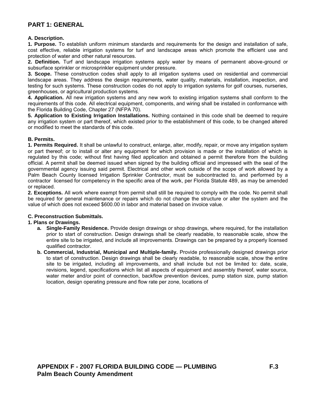## <span id="page-46-0"></span>**PART 1: GENERAL**

#### **A. Description.**

**1. Purpose.** To establish uniform minimum standards and requirements for the design and installation of safe, cost effective, reliable irrigation systems for turf and landscape areas which promote the efficient use and protection of water and other natural resources.

**2. Definition.** Turf and landscape irrigation systems apply water by means of permanent above-ground or subsurface sprinkler or microsprinkler equipment under pressure.

**3. Scope.** These construction codes shall apply to all irrigation systems used on residential and commercial landscape areas. They address the design requirements, water quality, materials, installation, inspection, and testing for such systems. These construction codes do not apply to irrigation systems for golf courses, nurseries, greenhouses, or agricultural production systems.

**4. Application.** All new irrigation systems and any new work to existing irrigation systems shall conform to the requirements of this code. All electrical equipment, components, and wiring shall be installed in conformance with the Florida Building Code, Chapter 27 (NFPA 70).

**5. Application to Existing Irrigation Installations.** Nothing contained in this code shall be deemed to require any irrigation system or part thereof, which existed prior to the establishment of this code, to be changed altered or modified to meet the standards of this code.

#### **B. Permits.**

**1. Permits Required.** It shall be unlawful to construct, enlarge, alter, modify, repair, or move any irrigation system or part thereof; or to install or alter any equipment for which provision is made or the installation of which is regulated by this code; without first having filed application and obtained a permit therefore from the building official. A permit shall be deemed issued when signed by the building official and impressed with the seal of the governmental agency issuing said permit. Electrical and other work outside of the scope of work allowed by a Palm Beach County licensed Irrigation Sprinkler Contractor, must be subcontracted to, and performed by a contractor licensed for competency in the specific area of the work, per Florida Statute 489, as may be amended or replaced.

**2. Exceptions.** All work where exempt from permit shall still be required to comply with the code. No permit shall be required for general maintenance or repairs which do not change the structure or alter the system and the value of which does not exceed \$600.00 in labor and material based on invoice value.

#### **C. Preconstruction Submittals.**

#### **1. Plans or Drawings.**

- **a. Single-Family Residence.** Provide design drawings or shop drawings, where required, for the installation prior to start of construction. Design drawings shall be clearly readable, to reasonable scale, show the entire site to be irrigated, and include all improvements. Drawings can be prepared by a properly licensed qualified contractor.
- **b. Commercial, Industrial, Municipal and Multiple-family.** Provide professionally designed drawings prior to start of construction. Design drawings shall be clearly readable, to reasonable scale, show the entire site to be irrigated, including all improvements, and shall include but not be limited to: date, scale, revisions, legend, specifications which list all aspects of equipment and assembly thereof, water source, water meter and/or point of connection, backflow prevention devices, pump station size, pump station location, design operating pressure and flow rate per zone, locations of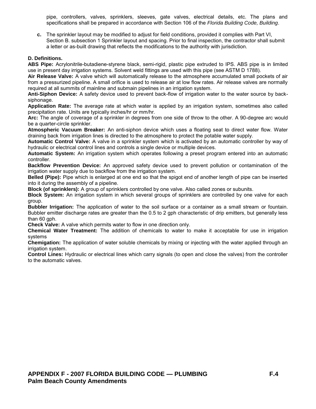<span id="page-47-0"></span>pipe, controllers, valves, sprinklers, sleeves, gate valves, electrical details, etc. The plans and specifications shall be prepared in accordance with Section 106 of the *Florida Building Code, Building*.

**c.** The sprinkler layout may be modified to adjust for field conditions, provided it complies with Part VI, Section B. subsection 1 Sprinkler layout and spacing. Prior to final inspection, the contractor shall submit a letter or as-built drawing that reflects the modifications to the authority with jurisdiction.

#### **D. Definitions.**

**ABS Pipe:** Acrylonitrile-butadiene-styrene black, semi-rigid, plastic pipe extruded to IPS. ABS pipe is in limited use in present day irrigation systems. Solvent weld fittings are used with this pipe (see ASTM D 1788).

**Air Release Valve:** A valve which will automatically release to the atmosphere accumulated small pockets of air from a pressurized pipeline. A small orifice is used to release air at low flow rates. Air release valves are normally required at all summits of mainline and submain pipelines in an irrigation system.

**Anti-Siphon Device:** A safety device used to prevent back-flow of irrigation water to the water source by backsiphonage.

**Application Rate:** The average rate at which water is applied by an irrigation system, sometimes also called precipitation rate. Units are typically inches/hr or mm/hr.

**Arc:** The angle of coverage of a sprinkler in degrees from one side of throw to the other. A 90-degree arc would be a quarter-circle sprinkler.

**Atmospheric Vacuum Breaker:** An anti-siphon device which uses a floating seat to direct water flow. Water draining back from irrigation lines is directed to the atmosphere to protect the potable water supply.

**Automatic Control Valve:** A valve in a sprinkler system which is activated by an automatic controller by way of hydraulic or electrical control lines and controls a single device or multiple devices.

**Automatic System:** An irrigation system which operates following a preset program entered into an automatic controller.

**Backflow Prevention Device:** An approved safety device used to prevent pollution or contamination of the irrigation water supply due to backflow from the irrigation system.

**Belled (Pipe):** Pipe which is enlarged at one end so that the spigot end of another length of pipe can be inserted into it during the assembly of a pipeline.

**Block (of sprinklers):** A group of sprinklers controlled by one valve. Also called zones or subunits.

**Block System:** An irrigation system in which several groups of sprinklers are controlled by one valve for each group.

**Bubbler Irrigation:** The application of water to the soil surface or a container as a small stream or fountain. Bubbler emitter discharge rates are greater than the 0.5 to 2 gph characteristic of drip emitters, but generally less than 60 gph.

**Check Valve:** A valve which permits water to flow in one direction only.

**Chemical Water Treatment:** The addition of chemicals to water to make it acceptable for use in irrigation systems

**Chemigation:** The application of water soluble chemicals by mixing or injecting with the water applied through an irrigation system.

**Control Lines:** Hydraulic or electrical lines which carry signals (to open and close the valves) from the controller to the automatic valves.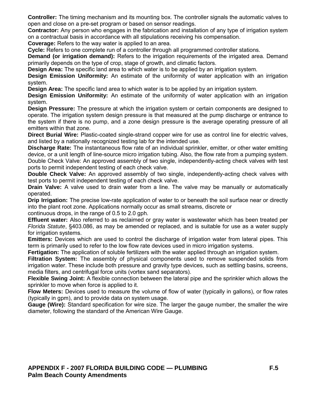**Controller:** The timing mechanism and its mounting box. The controller signals the automatic valves to open and close on a pre-set program or based on sensor readings.

**Contractor:** Any person who engages in the fabrication and installation of any type of irrigation system on a contractual basis in accordance with all stipulations receiving his compensation.

**Coverage:** Refers to the way water is applied to an area.

**Cycle:** Refers to one complete run of a controller through all programmed controller stations.

**Demand (or irrigation demand):** Refers to the irrigation requirements of the irrigated area. Demand primarily depends on the type of crop, stage of growth, and climatic factors.

**Design Area:** The specific land area to which water is to be applied by an irrigation system.

**Design Emission Uniformity:** An estimate of the uniformity of water application with an irrigation system.

**Design Area:** The specific land area to which water is to be applied by an irrigation system.

**Design Emission Uniformity:** An estimate of the uniformity of water application with an irrigation system.

**Design Pressure:** The pressure at which the irrigation system or certain components are designed to operate. The irrigation system design pressure is that measured at the pump discharge or entrance to the system if there is no pump, and a zone design pressure is the average operating pressure of all emitters within that zone.

**Direct Burial Wire:** Plastic-coated single-strand copper wire for use as control line for electric valves, and listed by a nationally recognized testing lab for the intended use.

**Discharge Rate:** The instantaneous flow rate of an individual sprinkler, emitter, or other water emitting device, or a unit length of line-source micro irrigation tubing. Also, the flow rate from a pumping system. Double Check Valve: An approved assembly of two single, independently-acting check valves with test ports to permit independent testing of each check valve.

**Double Check Valve:** An approved assembly of two single, independently-acting check valves with test ports to permit independent testing of each check valve.

**Drain Valve:** A valve used to drain water from a line. The valve may be manually or automatically operated.

**Drip Irrigation:** The precise low-rate application of water to or beneath the soil surface near or directly into the plant root zone. Applications normally occur as small streams, discrete or

continuous drops, in the range of 0.5 to 2.0 gph.

**Effluent water:** Also referred to as reclaimed or gray water is wastewater which has been treated per *Florida Statute*, §403.086, as may be amended or replaced, and is suitable for use as a water supply for irrigation systems.

**Emitters:** Devices which are used to control the discharge of irrigation water from lateral pipes. This term is primarily used to refer to the low flow rate devices used in micro irrigation systems.

**Fertigation:** The application of soluble fertilizers with the water applied through an irrigation system.

**Filtration System:** The assembly of physical components used to remove suspended solids from irrigation water. These include both pressure and gravity type devices, such as settling basins, screens, media filters, and centrifugal force units (vortex sand separators).

**Flexible Swing Joint:** A flexible connection between the lateral pipe and the sprinkler which allows the sprinkler to move when force is applied to it.

**Flow Meters:** Devices used to measure the volume of flow of water (typically in gallons), or flow rates (typically in gpm), and to provide data on system usage.

**Gauge (Wire):** Standard specification for wire size. The larger the gauge number, the smaller the wire diameter, following the standard of the American Wire Gauge.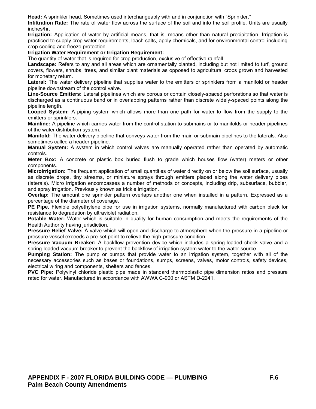**Head:** A sprinkler head. Sometimes used interchangeably with and in conjunction with "Sprinkler."

**Infiltration Rate:** The rate of water flow across the surface of the soil and into the soil profile. Units are usually inches/hr.

**Irrigation:** Application of water by artificial means, that is, means other than natural precipitation. Irrigation is practiced to supply crop water requirements, leach salts, apply chemicals, and for environmental control including crop cooling and freeze protection.

#### **Irrigation Water Requirement or Irrigation Requirement:**

The quantity of water that is required for crop production, exclusive of effective rainfall.

Landscape: Refers to any and all areas which are ornamentally planted, including but not limited to turf, ground covers, flowers, shrubs, trees, and similar plant materials as opposed to agricultural crops grown and harvested for monetary return.

Lateral: The water delivery pipeline that supplies water to the emitters or sprinklers from a manifold or header pipeline downstream of the control valve.

**Line-Source Emitters:** Lateral pipelines which are porous or contain closely-spaced perforations so that water is discharged as a continuous band or in overlapping patterns rather than discrete widely-spaced points along the pipeline length.

**Looped System:** A piping system which allows more than one path for water to flow from the supply to the emitters or sprinklers.

**Mainline:** A pipeline which carries water from the control station to submains or to manifolds or header pipelines of the water distribution system.

**Manifold:** The water delivery pipeline that conveys water from the main or submain pipelines to the laterals. Also sometimes called a header pipeline.

**Manual System:** A system in which control valves are manually operated rather than operated by automatic controls.

**Meter Box:** A concrete or plastic box buried flush to grade which houses flow (water) meters or other components.

**Microirrigation:** The frequent application of small quantities of water directly on or below the soil surface, usually as discrete drops, tiny streams, or miniature sprays through emitters placed along the water delivery pipes (laterals). Micro irrigation encompasses a number of methods or concepts, including drip, subsurface, bubbler, and spray irrigation. Previously known as trickle irrigation.

**Overlap:** The amount one sprinkler pattern overlaps another one when installed in a pattern. Expressed as a percentage of the diameter of coverage.

**PE Pipe.** Flexible polyethylene pipe for use in irrigation systems, normally manufactured with carbon black for resistance to degradation by ultraviolet radiation.

**Potable Water:** Water which is suitable in quality for human consumption and meets the requirements of the Health Authority having jurisdiction.

**Pressure Relief Valve:** A valve which will open and discharge to atmosphere when the pressure in a pipeline or pressure vessel exceeds a pre-set point to relieve the high-pressure condition.

**Pressure Vacuum Breaker:** A backflow prevention device which includes a spring-loaded check valve and a spring-loaded vacuum breaker to prevent the backflow of irrigation system water to the water source.

**Pumping Station:** The pump or pumps that provide water to an irrigation system, together with all of the necessary accessories such as bases or foundations, sumps, screens, valves, motor controls, safety devices, electrical wiring and components, shelters and fences.

**PVC Pipe:** Polyvinyl chloride plastic pipe made in standard thermoplastic pipe dimension ratios and pressure rated for water. Manufactured in accordance with AWWA C-900 or ASTM D-2241.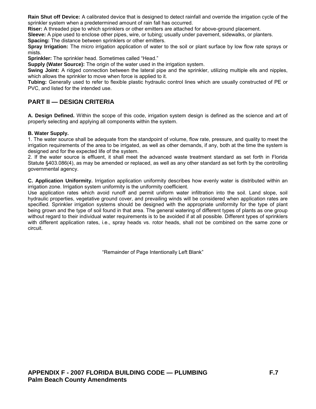<span id="page-50-0"></span>**Rain Shut off Device:** A calibrated device that is designed to detect rainfall and override the irrigation cycle of the sprinkler system when a predetermined amount of rain fall has occurred.

**Riser:** A threaded pipe to which sprinklers or other emitters are attached for above-ground placement.

**Sleeve:** A pipe used to enclose other pipes, wire, or tubing; usually under pavement, sidewalks, or planters.

**Spacing:** The distance between sprinklers or other emitters.

**Spray Irrigation:** The micro irrigation application of water to the soil or plant surface by low flow rate sprays or mists.

**Sprinkler:** The sprinkler head. Sometimes called "Head."

**Supply (Water Source):** The origin of the water used in the irrigation system.

**Swing Joint:** A ridged connection between the lateral pipe and the sprinkler, utilizing multiple ells and nipples, which allows the sprinkler to move when force is applied to it.

**Tubing:** Generally used to refer to flexible plastic hydraulic control lines which are usually constructed of PE or PVC, and listed for the intended use.

## **PART II — DESIGN CRITERIA**

**A. Design Defined.** Within the scope of this code, irrigation system design is defined as the science and art of properly selecting and applying all components within the system.

#### **B. Water Supply.**

1. The water source shall be adequate from the standpoint of volume, flow rate, pressure, and quality to meet the irrigation requirements of the area to be irrigated, as well as other demands, if any, both at the time the system is designed and for the expected life of the system.

2. If the water source is effluent, it shall meet the advanced waste treatment standard as set forth in Florida Statute §403.086(4), as may be amended or replaced, as well as any other standard as set forth by the controlling governmental agency.

**C. Application Uniformity.** Irrigation application uniformity describes how evenly water is distributed within an irrigation zone. Irrigation system uniformity is the uniformity coefficient.

Use application rates which avoid runoff and permit uniform water infiltration into the soil. Land slope, soil hydraulic properties, vegetative ground cover, and prevailing winds will be considered when application rates are specified. Sprinkler irrigation systems should be designed with the appropriate uniformity for the type of plant being grown and the type of soil found in that area. The general watering of different types of plants as one group without regard to their individual water requirements is to be avoided if at all possible. Different types of sprinklers with different application rates, i.e., spray heads vs. rotor heads, shall not be combined on the same zone or circuit.

"Remainder of Page Intentionally Left Blank"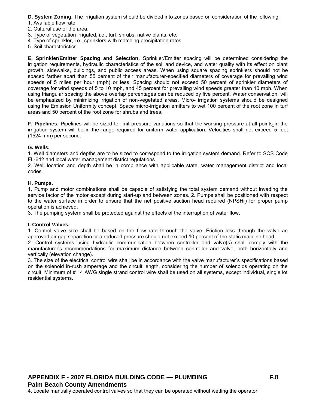<span id="page-51-0"></span>**D. System Zoning.** The irrigation system should be divided into zones based on consideration of the following:

- 1. Available flow rate.
- 2. Cultural use of the area.
- 3. Type of vegetation irrigated, i.e., turf, shrubs, native plants, etc.
- 4. Type of sprinkler, i.e., sprinklers with matching precipitation rates.
- 5. Soil characteristics.

**E. Sprinkler/Emitter Spacing and Selection.** Sprinkler/Emitter spacing will be determined considering the irrigation requirements, hydraulic characteristics of the soil and device, and water quality with its effect on plant growth, sidewalks, buildings, and public access areas. When using square spacing sprinklers should not be spaced farther apart than 55 percent of their manufacturer-specified diameters of coverage for prevailing wind speeds of 5 miles per hour (mph) or less. Spacing should not exceed 50 percent of sprinkler diameters of coverage for wind speeds of 5 to 10 mph, and 45 percent for prevailing wind speeds greater than 10 mph. When using triangular spacing the above overlap percentages can be reduced by five percent. Water conservation, will be emphasized by minimizing irrigation of non-vegetated areas. Micro- irrigation systems should be designed using the Emission Uniformity concept. Space micro-irrigation emitters to wet 100 percent of the root zone in turf areas and 50 percent of the root zone for shrubs and trees.

**F. Pipelines.** Pipelines will be sized to limit pressure variations so that the working pressure at all points in the irrigation system will be in the range required for uniform water application. Velocities shall not exceed 5 feet (1524 mm) per second.

#### **G. Wells.**

1. Well diameters and depths are to be sized to correspond to the irrigation system demand. Refer to SCS Code FL-642 and local water management district regulations

2. Well location and depth shall be in compliance with applicable state, water management district and local codes.

#### **H. Pumps.**

1. Pump and motor combinations shall be capable of satisfying the total system demand without invading the service factor of the motor except during start-up and between zones. 2. Pumps shall be positioned with respect to the water surface in order to ensure that the net positive suction head required (NPSHr) for proper pump operation is achieved.

3. The pumping system shall be protected against the effects of the interruption of water flow.

#### **I. Control Valves.**

1. Control valve size shall be based on the flow rate through the valve. Friction loss through the valve an approved air gap separation or a reduced pressure should not exceed 10 percent of the static mainline head.

2. Control systems using hydraulic communication between controller and valve(s) shall comply with the manufacturer's recommendations for maximum distance between controller and valve, both horizontally and vertically (elevation change).

3. The size of the electrical control wire shall be in accordance with the valve manufacturer's specifications based on the solenoid in-rush amperage and the circuit length, considering the number of solenoids operating on the circuit. Minimum of # 14 AWG single strand control wire shall be used on all systems, except individual, single lot residential systems.

4. Locate manually operated control valves so that they can be operated without wetting the operator.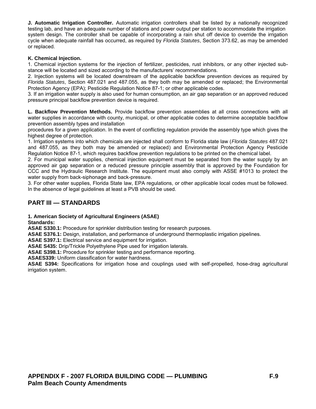<span id="page-52-0"></span>**J. Automatic Irrigation Controller.** Automatic irrigation controllers shall be listed by a nationally recognized testing lab, and have an adequate number of stations and power output per station to accommodate the irrigation system design. The controller shall be capable of incorporating a rain shut off device to override the irrigation cycle when adequate rainfall has occurred, as required by *Florida Statutes*, Section 373.62, as may be amended or replaced.

#### **K. Chemical Injection.**

1. Chemical injection systems for the injection of fertilizer, pesticides, rust inhibitors, or any other injected substance will be located and sized according to the manufacturers' recommendations.

2. Injection systems will be located downstream of the applicable backflow prevention devices as required by *Florida Statutes*, Section 487.021 and 487.055, as they both may be amended or replaced; the Environmental Protection Agency (EPA); Pesticide Regulation Notice 87-1; or other applicable codes.

3. If an irrigation water supply is also used for human consumption, an air gap separation or an approved reduced pressure principal backflow prevention device is required.

**L. Backflow Prevention Methods.** Provide backflow prevention assemblies at all cross connections with all water supplies in accordance with county, municipal, or other applicable codes to determine acceptable backflow prevention assembly types and installation

procedures for a given application. In the event of conflicting regulation provide the assembly type which gives the highest degree of protection.

1. Irrigation systems into which chemicals are injected shall conform to Florida state law (*Florida Statutes* 487.021 and 487.055, as they both may be amended or replaced) and Environmental Protection Agency Pesticide Regulation Notice 87-1, which requires backflow prevention regulations to be printed on the chemical label.

2. For municipal water supplies, chemical injection equipment must be separated from the water supply by an approved air gap separation or a reduced pressure principle assembly that is approved by the Foundation for CCC and the Hydraulic Research Institute. The equipment must also comply with ASSE #1013 to protect the water supply from back-siphonage and back-pressure.

3. For other water supplies, Florida State law, EPA regulations, or other applicable local codes must be followed. In the absence of legal guidelines at least a PVB should be used.

## **PART III — STANDARDS**

#### **1. American Society of Agricultural Engineers (ASAE)**

**Standards:** 

**ASAE S330.1:** Procedure for sprinkler distribution testing for research purposes.

**ASAE S376.1:** Design, installation, and performance of underground thermoplastic irrigation pipelines.

**ASAE S397.1:** Electrical service and equipment for irrigation.

**ASAE S435:** Drip/Trickle Polyethylene Pipe used for irrigation laterals.

**ASAE S398.1:** Procedure for sprinkler testing and performance reporting.

**ASAES339:** Uniform classification for water hardness.

**ASAE S394:** Specifications for irrigation hose and couplings used with self-propelled, hose-drag agricultural irrigation system.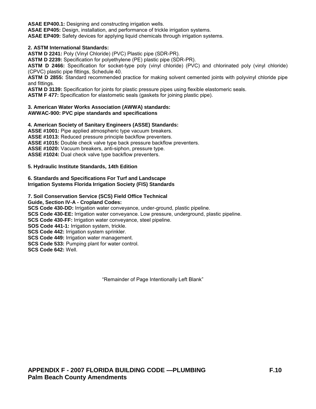**ASAE EP400.1:** Designing and constructing irrigation wells.

**ASAE EP405:** Design, installation, and performance of trickle irrigation systems.

**ASAE EP409:** Safety devices for applying liquid chemicals through irrigation systems.

#### **2. ASTM International Standards:**

**ASTM D 2241:** Poly (Vinyl Chloride) (PVC) Plastic pipe (SDR-PR).

**ASTM D 2239:** Specification for polyethylene (PE) plastic pipe (SDR-PR).

**ASTM D 2466:** Specification for socket-type poly (vinyl chloride) (PVC) and chlorinated poly (vinyl chloride) (CPVC) plastic pipe fittings, Schedule 40.

**ASTM D 2855:** Standard recommended practice for making solvent cemented joints with polyvinyl chloride pipe and fittings.

**ASTM D 3139:** Specification for joints for plastic pressure pipes using flexible elastomeric seals.

**ASTM F 477:** Specification for elastometic seals (gaskets for joining plastic pipe).

#### **3. American Water Works Association (AWWA) standards: AWWAC-900: PVC pipe standards and specifications**

#### **4. American Society of Sanitary Engineers (ASSE) Standards: ASSE #1001:** Pipe applied atmospheric type vacuum breakers.

**ASSE #1013:** Reduced pressure principle backflow preventers. **ASSE #1015:** Double check valve type back pressure backflow preventers. **ASSE #1020:** Vacuum breakers, anti-siphon, pressure type. **ASSE #1024:** Dual check valve type backflow preventers.

#### **5. Hydraulic Institute Standards, 14th Edition**

#### **6. Standards and Specifications For Turf and Landscape Irrigation Systems Florida Irrigation Society (FIS) Standards**

#### **7. Soil Conservation Service (SCS) Field Office Technical**

**Guide, Section IV-A - Cropland Codes:** 

**SCS Code 430-DD:** Irrigation water conveyance, under-ground, plastic pipeline.

**SCS Code 430-EE:** Irrigation water conveyance. Low pressure, underground, plastic pipeline.

**SCS Code 430-FF:** Irrigation water conveyance, steel pipeline.

**SOS Code 441-1:** Irrigation system, trickle.

**SCS Code 442:** Irrigation system sprinkler.

**SCS Code 449:** Irrigation water management.

**SCS Code 533:** Pumping plant for water control.

**SCS Code 642:** Well.

"Remainder of Page Intentionally Left Blank"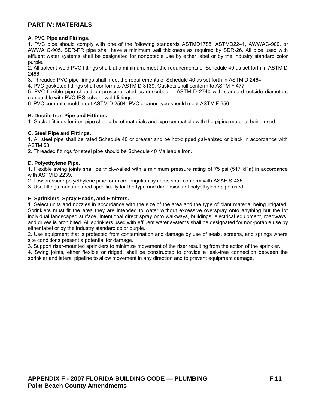## <span id="page-54-0"></span>**PART IV: MATERIALS**

#### **A. PVC Pipe and Fittings.**

1. PVC pipe should comply with one of the following standards ASTMD1785, ASTMD2241, AWWAC-900, or AWWA C-905. SDR-PR pipe shall have a minimum wall thickness as required by SDR-26. All pipe used with effluent water systems shall be designated for nonpotable use by either label or by the industry standard color purple.

2. All solvent-weld PVC fittings shall, at a minimum, meet the requirements of Schedule 40 as set forth in ASTM D 2466.

3. Threaded PVC pipe firings shall meet the requirements of Schedule 40 as set forth in ASTM D 2464.

4. PVC gasketed fittings shall conform to ASTM D 3139. Gaskets shall conform to ASTM F 477.

5. PVC flexible pipe should be pressure rated as described in ASTM D 2740 with standard outside diameters compatible with PVC IPS solvent-weld fittings.

6. PVC cement should meet ASTM D 2564. PVC cleaner-type should meet ASTM F 656.

#### **B. Ductile Iron Pipe and Fittings.**

1. Gasket fittings for iron pipe should be of materials and type compatible with the piping material being used.

#### **C. Steel Pipe and Fittings.**

1. All steel pipe shall be rated Schedule 40 or greater and be hot-dipped galvanized or black in accordance with ASTM 53.

2. Threaded fittings for steel pipe should be Schedule 40 Malleable Iron.

#### **D. Polyethylene Pipe.**

1. Flexible swing joints shall be thick-walled with a minimum pressure rating of 75 psi (517 kPa) in accordance with ASTM D 2239.

2. Low pressure polyethylene pipe for micro-irrigation systems shall conform with ASAE S-435.

3. Use fittings manufactured specifically for the type and dimensions of polyethylene pipe used.

#### **E. Sprinklers, Spray Heads, and Emitters.**

1. Select units and nozzles in accordance with the size of the area and the type of plant material being irrigated. Sprinklers must fit the area they are intended to water without excessive overspray onto anything but the lot individual landscaped surface. Intentional direct spray onto walkways, buildings, electrical equipment, roadways, and drives is prohibited. All sprinklers used with effluent water systems shall be designated for non-potable use by either label or by the industry standard color purple.

2. Use equipment that is protected from contamination and damage by use of seals, screens, and springs where site conditions present a potential for damage.

3. Support riser-mounted sprinklers to minimize movement of the riser resulting from the action of the sprinkler.

4. Swing joints, either flexible or ridged, shall be constructed to provide a leak-free connection between the sprinkler and lateral pipeline to allow movement in any direction and to prevent equipment damage.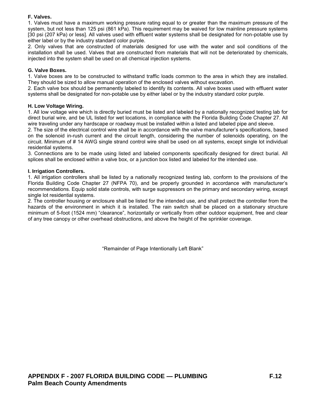## <span id="page-55-0"></span>**F. Valves.**

1. Valves must have a maximum working pressure rating equal to or greater than the maximum pressure of the system, but not less than 125 psi (861 kPa). This requirement may be waived for low mainline pressure systems [30 psi (207 kPa) or less]. All valves used with effluent water systems shall be designated for non-potable use by either label or by the industry standard color purple.

2. Only valves that are constructed of materials designed for use with the water and soil conditions of the installation shall be used. Valves that are constructed from materials that will not be deteriorated by chemicals, injected into the system shall be used on all chemical injection systems.

#### **G. Valve Boxes.**

1. Valve boxes are to be constructed to withstand traffic loads common to the area in which they are installed. They should be sized to allow manual operation of the enclosed valves without excavation.

2. Each valve box should be permanently labeled to identify its contents. All valve boxes used with effluent water systems shall be designated for non-potable use by either label or by the industry standard color purple.

#### **H. Low Voltage Wiring.**

1. All low voltage wire which is directly buried must be listed and labeled by a nationally recognized testing lab for direct burial wire, and be UL listed for wet locations, in compliance with the Florida Building Code Chapter 27. All wire traveling under any hardscape or roadway must be installed within a listed and labeled pipe and sleeve.

2. The size of the electrical control wire shall be in accordance with the valve manufacturer's specifications, based on the solenoid in-rush current and the circuit length, considering the number of solenoids operating, on the circuit. Minimum of # 14 AWG single strand control wire shall be used on all systems, except single lot individual residential systems.

3. Connections are to be made using listed and labeled components specifically designed for direct burial. All splices shall be enclosed within a valve box, or a junction box listed and labeled for the intended use.

#### **I. Irrigation Controllers.**

1. All irrigation controllers shall be listed by a nationally recognized testing lab, conform to the provisions of the Florida Building Code Chapter 27 (NFPA 70), and be properly grounded in accordance with manufacturer's recommendations. Equip solid state controls, with surge suppressors on the primary and secondary wiring, except single lot residential systems.

2. The controller housing or enclosure shall be listed for the intended use, and shall protect the controller from the hazards of the environment in which it is installed. The rain switch shall be placed on a stationary structure minimum of 5-foot (1524 mm) "clearance", horizontally or vertically from other outdoor equipment, free and clear of any tree canopy or other overhead obstructions, and above the height of the sprinkler coverage.

"Remainder of Page Intentionally Left Blank"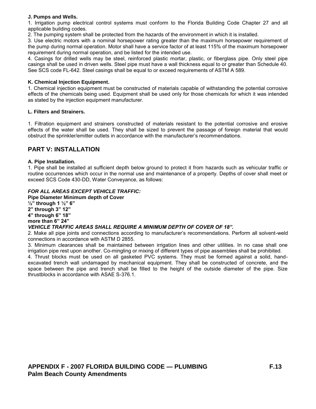#### <span id="page-56-0"></span>**J. Pumps and Wells.**

1. Irrigation pump electrical control systems must conform to the Florida Building Code Chapter 27 and all applicable building codes.

2. The pumping system shall be protected from the hazards of the environment in which it is installed.

3. Use electric motors with a nominal horsepower rating greater than the maximum horsepower requirement of the pump during normal operation. Motor shall have a service factor of at least 115% of the maximum horsepower requirement during normal operation, and be listed for the intended use.

4. Casings for drilled wells may be steel, reinforced plastic mortar, plastic, or fiberglass pipe. Only steel pipe casings shall be used in driven wells. Steel pipe must have a wall thickness equal to or greater than Schedule 40. See SCS code FL-642. Steel casings shall be equal to or exceed requirements of ASTM A 589.

#### **K. Chemical Injection Equipment.**

1. Chemical injection equipment must be constructed of materials capable of withstanding the potential corrosive effects of the chemicals being used. Equipment shall be used only for those chemicals for which it was intended as stated by the injection equipment manufacturer.

#### **L. Filters and Strainers.**

1. Filtration equipment and strainers constructed of materials resistant to the potential corrosive and erosive effects of the water shall be used. They shall be sized to prevent the passage of foreign material that would obstruct the sprinkler/emitter outlets in accordance with the manufacturer's recommendations.

## **PART V: INSTALLATION**

#### **A. Pipe Installation.**

1. Pipe shall be installed at sufficient depth below ground to protect it from hazards such as vehicular traffic or routine occurrences which occur in the normal use and maintenance of a property. Depths of cover shall meet or exceed SCS Code 430-DD, Water Conveyance, as follows:

#### *FOR ALL AREAS EXCEPT VEHICLE TRAFFIC:*

**Pipe Diameter Minimum depth of Cover ½" through 1 ½" 6" 2" through 3" 12" 4" through 6" 18" more than 6" 24"** 

#### *VEHICLE TRAFFIC AREAS SHALL REQUIRE A MINIMUM DEPTH OF COVER OF 18".*

2. Make all pipe joints and connections according to manufacturer's recommendations. Perform all solvent-weld connections in accordance with ASTM D 2855.

3. Minimum clearances shall be maintained between irrigation lines and other utilities. In no case shall one irrigation pipe rest upon another. Co-mingling or mixing of different types of pipe assemblies shall be prohibited.

4. Thrust blocks must be used on all gasketed PVC systems. They must be formed against a solid, handexcavated trench wall undamaged by mechanical equipment. They shall be constructed of concrete, and the space between the pipe and trench shall be filled to the height of the outside diameter of the pipe. Size thrustblocks in accordance with ASAE S-376.1.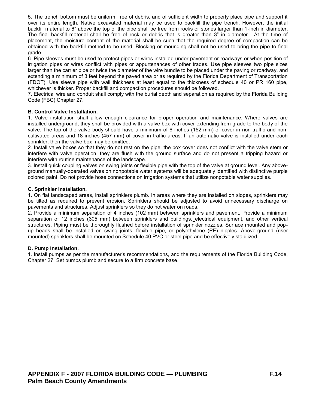<span id="page-57-0"></span>5. The trench bottom must be uniform, free of debris, and of sufficient width to properly place pipe and support it over its entire length. Native excavated material may be used to backfill the pipe trench. However, the initial backfill material to 6" above the top of the pipe shall be free from rocks or stones larger than 1-inch in diameter. The final backfill material shall be free of rock or debris that is greater than 3" in diameter. At the time of placement, the moisture content of the material shall be such that the required degree of compaction can be obtained with the backfill method to be used. Blocking or mounding shall not be used to bring the pipe to final grade.

6. Pipe sleeves must be used to protect pipes or wires installed under pavement or roadways or when position of irrigation pipes or wires conflict with pipes or appurtenances of other trades. Use pipe sleeves two pipe sizes larger than the carrier pipe or twice the diameter of the wire bundle to be placed under the paving or roadway, and extending a minimum of 3 feet beyond the paved area or as required by the Florida Department of Transportation (FDOT). Use sleeve pipe with wall thickness at least equal to the thickness of schedule 40 or PR 160 pipe, whichever is thicker. Proper backfill and compaction procedures should be followed.

7. Electrical wire and conduit shall comply with the burial depth and separation as required by the Florida Building Code (FBC) Chapter 27.

#### **B. Control Valve Installation.**

1. Valve installation shall allow enough clearance for proper operation and maintenance. Where valves are installed underground, they shall be provided with a valve box with cover extending from grade to the body of the valve. The top of the valve body should have a minimum of 6 inches (152 mm) of cover in non-traffic and noncultivated areas and 18 inches (457 mm) of cover in traffic areas. If an automatic valve is installed under each sprinkler, then the valve box may be omitted.

2. Install valve boxes so that they do not rest on the pipe, the box cover does not conflict with the valve stem or interfere with valve operation, they are flush with the ground surface and do not present a tripping hazard or interfere with routine maintenance of the landscape.

3. Install quick coupling valves on swing joints or flexible pipe with the top of the valve at ground level. Any aboveground manually-operated valves on nonpotable water systems will be adequately identified with distinctive purple colored paint. Do not provide hose connections on irrigation systems that utilize nonpotable water supplies.

#### **C. Sprinkler Installation.**

1. On flat landscaped areas, install sprinklers plumb. In areas where they are installed on slopes, sprinklers may be tilted as required to prevent erosion. Sprinklers should be adjusted to avoid unnecessary discharge on pavements and structures. Adjust sprinklers so they do not water on roads.

2. Provide a minimum separation of 4 inches (102 mm) between sprinklers and pavement. Provide a minimum separation of 12 inches (305 mm) between sprinklers and buildings, electrical equipment, and other vertical structures. Piping must be thoroughly flushed before installation of sprinkler nozzles. Surface mounted and popup heads shall be installed on swing joints, flexible pipe, or polyethylene (PE) nipples. Above-ground (riser mounted) sprinklers shall be mounted on Schedule 40 PVC or steel pipe and be effectively stabilized.

#### **D. Pump Installation.**

1. Install pumps as per the manufacturer's recommendations, and the requirements of the Florida Building Code, Chapter 27. Set pumps plumb and secure to a firm concrete base.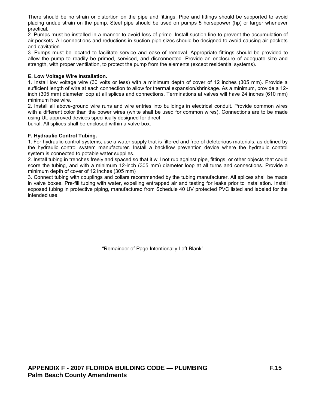<span id="page-58-0"></span>There should be no strain or distortion on the pipe and fittings. Pipe and fittings should be supported to avoid placing undue strain on the pump. Steel pipe should be used on pumps 5 horsepower (hp) or larger whenever practical.

2. Pumps must be installed in a manner to avoid loss of prime. Install suction line to prevent the accumulation of air pockets. All connections and reductions in suction pipe sizes should be designed to avoid causing air pockets and cavitation.

3. Pumps must be located to facilitate service and ease of removal. Appropriate fittings should be provided to allow the pump to readily be primed, serviced, and disconnected. Provide an enclosure of adequate size and strength, with proper ventilation, to protect the pump from the elements (except residential systems).

#### **E. Low Voltage Wire Installation.**

1. Install low voltage wire (30 volts or less) with a minimum depth of cover of 12 inches (305 mm). Provide a sufficient length of wire at each connection to allow for thermal expansion/shrinkage. As a minimum, provide a 12 inch (305 mm) diameter loop at all splices and connections. Terminations at valves will have 24 inches (610 mm) minimum free wire.

2. Install all above-ground wire runs and wire entries into buildings in electrical conduit. Provide common wires with a different color than the power wires (white shall be used for common wires). Connections are to be made using UL approved devices specifically designed for direct

burial. All splices shall be enclosed within a valve box.

#### **F. Hydraulic Control Tubing.**

1. For hydraulic control systems, use a water supply that is filtered and free of deleterious materials, as defined by the hydraulic control system manufacturer. Install a backflow prevention device where the hydraulic control system is connected to potable water supplies.

2. Install tubing in trenches freely and spaced so that it will not rub against pipe, fittings, or other objects that could score the tubing, and with a minimum 12-inch (305 mm) diameter loop at all turns and connections. Provide a minimum depth of cover of 12 inches (305 mm)

3. Connect tubing with couplings and collars recommended by the tubing manufacturer. All splices shall be made in valve boxes. Pre-fill tubing with water, expelling entrapped air and testing for leaks prior to installation. Install exposed tubing in protective piping, manufactured from Schedule 40 UV protected PVC listed and labeled for the intended use.

"Remainder of Page Intentionally Left Blank"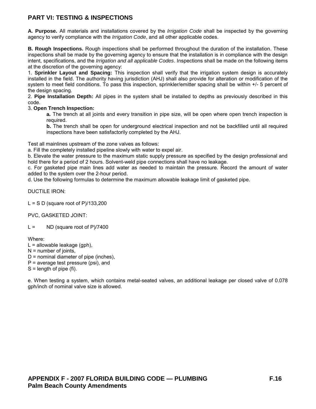## <span id="page-59-0"></span>**PART VI: TESTING & INSPECTIONS**

**A. Purpose.** All materials and installations covered by the *Irrigation Code* shall be inspected by the governing agency to verify compliance with the *Irrigation Code*, and all other applicable codes.

**B. Rough Inspections.** Rough inspections shall be performed throughout the duration of the installation. These inspections shall be made by the governing agency to ensure that the installation is in compliance with the design intent, specifications, and the *Irrigation and all applicable Codes*. Inspections shall be made on the following items at the discretion of the governing agency:

1. **Sprinkler Layout and Spacing:** This inspection shall verify that the irrigation system design is accurately installed in the field. The authority having jurisdiction (AHJ) shall also provide for alteration or modification of the system to meet field conditions. To pass this inspection, sprinkler/emitter spacing shall be within +/- 5 percent of the design spacing.

2. **Pipe Installation Depth:** All pipes in the system shall be installed to depths as previously described in this code.

#### 3. **Open Trench Inspection:**

**a.** The trench at all joints and every transition in pipe size, will be open where open trench inspection is required.

**b.** The trench shall be open for underground electrical inspection and not be backfilled until all required inspections have been satisfactorily completed by the AHJ.

Test all mainlines upstream of the zone valves as follows:

a. Fill the completely installed pipeline slowly with water to expel air.

b. Elevate the water pressure to the maximum static supply pressure as specified by the design professional and hold there for a period of 2 hours. Solvent-weld pipe connections shall have no leakage.

c. For gasketed pipe main lines add water as needed to maintain the pressure. Record the amount of water added to the system over the 2-hour period.

d. Use the following formulas to determine the maximum allowable leakage limit of gasketed pipe.

DUCTILE IRON:

 $L = S D$  (square root of P)/133,200

PVC, GASKETED JOINT:

 $L =$  ND (square root of P)/7400

Where:

 $L =$  allowable leakage (gph),

 $N =$  number of joints,

- $D =$  nominal diameter of pipe (inches),
- $P = average test pressure (psi)$ , and

 $S =$  length of pipe (fi).

e. When testing a system, which contains metal-seated valves, an additional leakage per closed valve of 0.078 gph/inch of nominal valve size is allowed.